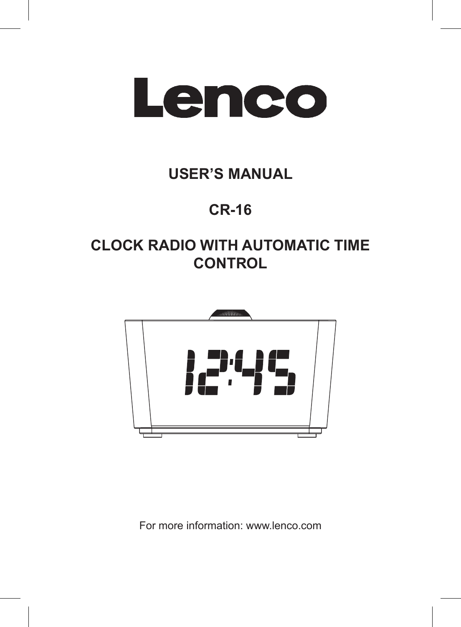

# **USER'S MANUAL**

# **CR-16**

# **CLOCK RADIO WITH AUTOMATIC TIME CONTROL**



For more information: www.lenco.com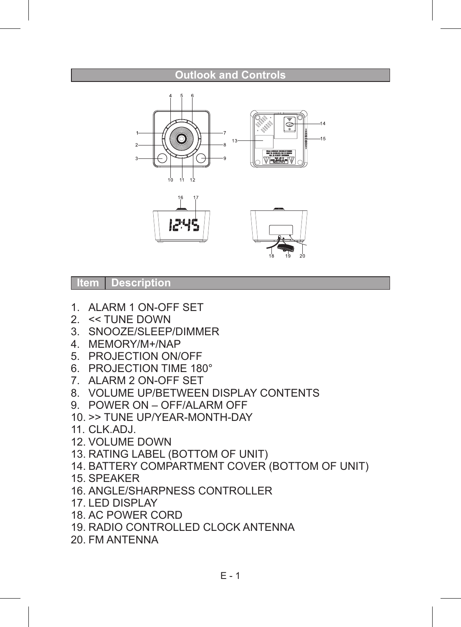#### **Outlook and Controls**





#### **Item Description**

- 1. ALARM 1 ON-OFF SET
- 2. << TUNE DOWN
- 3. SNOOZE/SLEEP/DIMMER
- 4. MEMORY/M+/NAP
- 5. PROJECTION ON/OFF
- 6. PROJECTION TIME 180°
- 7. ALARM 2 ON-OFF SET
- 8. VOLUME UP/BETWEEN DISPLAY CONTENTS
- 9. POWER ON OFF/ALARM OFF
- 10. >> TUNE UP/YEAR-MONTH-DAY
- 11. CLK.ADJ.
- 12. VOLUME DOWN
- 13. RATING LABEL (BOTTOM OF UNIT)
- 14. BATTERY COMPARTMENT COVER (BOTTOM OF UNIT)
- 15. SPEAKER
- 16. ANGLE/SHARPNESS CONTROLLER
- 17. LED DISPLAY
- 18. AC POWER CORD
- 19. RADIO CONTROLLED CLOCK ANTENNA
- 20. FM ANTENNA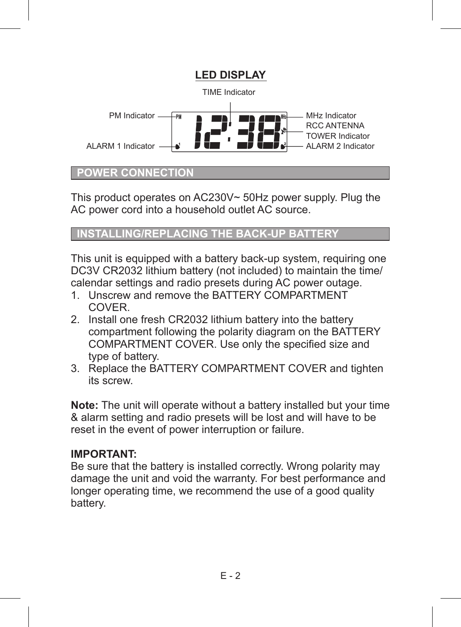

#### **POWER CONNECTION**

This product operates on AC230V~ 50Hz power supply. Plug the AC power cord into a household outlet AC source.

*STALLING/REPLACING THE BACK-UP BATTERY* 

This unit is equipped with a battery back-up system, requiring one DC3V CR2032 lithium battery (not included) to maintain the time/ calendar settings and radio presets during AC power outage.

- 1. Unscrew and remove the BATTERY COMPARTMENT **COVER**
- 2. Install one fresh CR2032 lithium battery into the battery compartment following the polarity diagram on the BATTERY COMPARTMENT COVER. Use only the specified size and type of battery.
- 3. Replace the BATTERY COMPARTMENT COVER and tighten its screw.

**Note:** The unit will operate without a battery installed but your time & alarm setting and radio presets will be lost and will have to be reset in the event of power interruption or failure.

#### **IMPORTANT:**

Be sure that the battery is installed correctly. Wrong polarity may damage the unit and void the warranty. For best performance and longer operating time, we recommend the use of a good quality battery.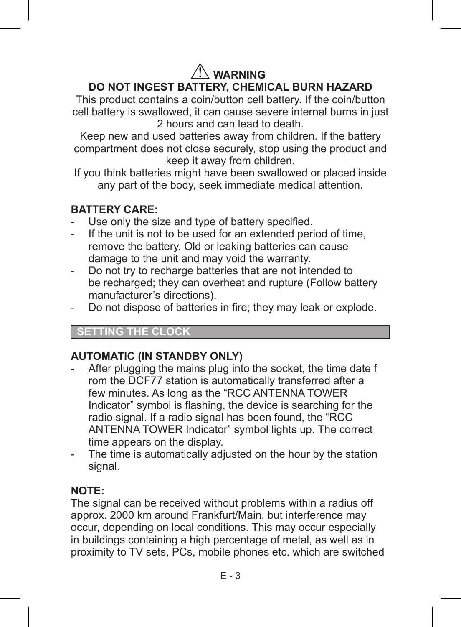## **WARNING DO NOT INGEST BATTERY, CHEMICAL BURN HAZARD**

This product contains a coin/button cell battery. If the coin/button cell battery is swallowed, it can cause severe internal burns in just 2 hours and can lead to death.

Keep new and used batteries away from children. If the battery compartment does not close securely, stop using the product and keep it away from children.

If you think batteries might have been swallowed or placed inside any part of the body, seek immediate medical attention.

#### **BATTERY CARE:**

- Use only the size and type of battery specified.
- If the unit is not to be used for an extended period of time. remove the battery. Old or leaking batteries can cause damage to the unit and may void the warranty.
- Do not try to recharge batteries that are not intended to be recharged; they can overheat and rupture (Follow battery manufacturer's directions).
- Do not dispose of batteries in fire; they may leak or explode.

#### **CLOCK**

#### **AUTOMATIC (IN STANDBY ONLY)**

- After plugging the mains plug into the socket, the time date f rom the DCF77 station is automatically transferred after a few minutes. As long as the "RCC ANTENNA TOWER Indicator" symbol is flashing, the device is searching for the radio signal. If a radio signal has been found, the "RCC ANTENNA TOWER Indicator" symbol lights up. The correct time appears on the display.
- The time is automatically adjusted on the hour by the station signal.

#### **NOTE:**

The signal can be received without problems within a radius off approx. 2000 km around Frankfurt/Main, but interference may occur, depending on local conditions. This may occur especially in buildings containing a high percentage of metal, as well as in proximity to TV sets, PCs, mobile phones etc. which are switched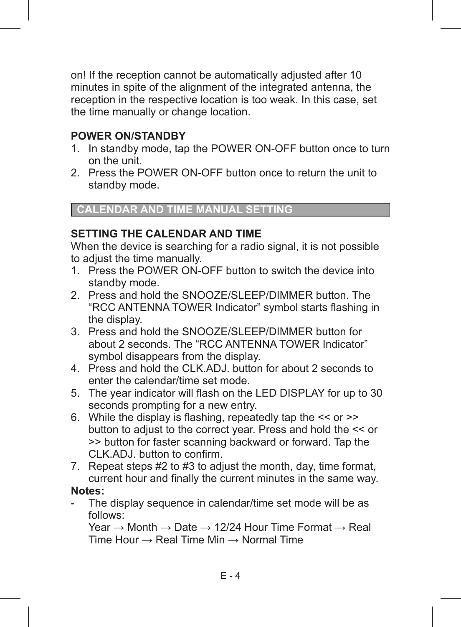on! If the reception cannot be automatically adjusted after 10 minutes in spite of the alignment of the integrated antenna, the reception in the respective location is too weak. In this case, set the time manually or change location.

#### **POWER ON/STANDBY**

- 1. In standby mode, tap the POWER ON-OFF button once to turn on the unit.
- 2. Press the POWER ON-OFF button once to return the unit to standby mode.

#### **CALENDAR AND TIME MANUAL SETTI**

#### **SETTING THE CALENDAR AND TIME**

When the device is searching for a radio signal, it is not possible to adjust the time manually.

- 1. Press the POWER ON-OFF button to switch the device into standby mode.
- 2. Press and hold the SNOOZE/SLEEP/DIMMER button. The "RCC ANTENNA TOWER Indicator" symbol starts flashing in the display.
- 3. Press and hold the SNOOZE/SLEEP/DIMMER button for about 2 seconds. The "RCC ANTENNA TOWER Indicator" symbol disappears from the display.
- 4. Press and hold the CLK.ADJ. button for about 2 seconds to enter the calendar/time set mode.
- 5. The year indicator will flash on the LED DISPLAY for up to 30 seconds prompting for a new entry.
- 6. While the display is flashing, repeatedly tap the  $<<$  or  $>>$ button to adjust to the correct year. Press and hold the << or >> button for faster scanning backward or forward. Tap the CLK.ADJ. button to confirm.
- 7. Repeat steps #2 to #3 to adjust the month, day, time format, current hour and finally the current minutes in the same way.

#### **Notes:**

The display sequence in calendar/time set mode will be as follows:

Year  $\rightarrow$  Month  $\rightarrow$  Date  $\rightarrow$  12/24 Hour Time Format  $\rightarrow$  Real Time Hour  $\rightarrow$  Real Time Min  $\rightarrow$  Normal Time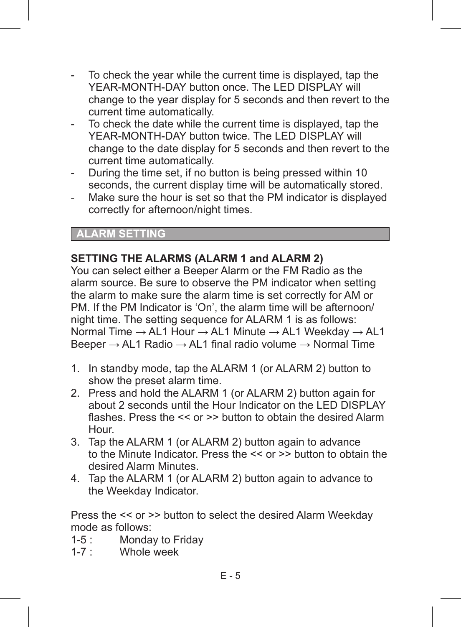- To check the year while the current time is displayed, tap the YEAR-MONTH-DAY button once. The LED DISPLAY will change to the year display for 5 seconds and then revert to the current time automatically.
- To check the date while the current time is displayed, tap the YEAR-MONTH-DAY button twice. The LED DISPLAY will change to the date display for 5 seconds and then revert to the current time automatically.
- During the time set, if no button is being pressed within 10 seconds, the current display time will be automatically stored.
- Make sure the hour is set so that the PM indicator is displayed correctly for afternoon/night times.

#### **ALARM SETTING**

#### **SETTING THE ALARMS (ALARM 1 and ALARM 2)**

You can select either a Beeper Alarm or the FM Radio as the alarm source. Be sure to observe the PM indicator when setting the alarm to make sure the alarm time is set correctly for AM or PM. If the PM Indicator is 'On', the alarm time will be afternoon/ night time. The setting sequence for ALARM 1 is as follows: Normal Time → AL1 Hour → AL1 Minute → AL1 Weekday → AL1 Beeper  $\rightarrow$  AL1 Radio  $\rightarrow$  AL1 final radio volume  $\rightarrow$  Normal Time

- 1. In standby mode, tap the ALARM 1 (or ALARM 2) button to show the preset alarm time.
- 2. Press and hold the ALARM 1 (or ALARM 2) button again for about 2 seconds until the Hour Indicator on the LED DISPLAY flashes. Press the << or >> button to obtain the desired Alarm Hour.
- 3. Tap the ALARM 1 (or ALARM 2) button again to advance to the Minute Indicator. Press the << or >> button to obtain the desired Alarm Minutes.
- 4. Tap the ALARM 1 (or ALARM 2) button again to advance to the Weekday Indicator.

Press the << or >> button to select the desired Alarm Weekday mode as follows:

- 1-5 : Monday to Friday<br>1-7 : Whole week
- Whole week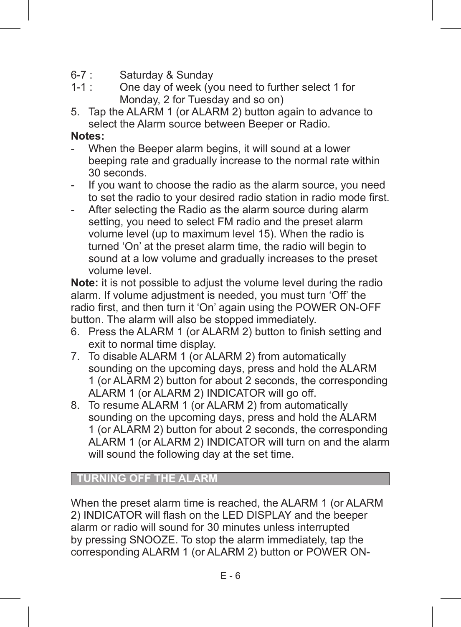- $6-7$  : Saturday & Sunday<br> $1-1$  : One day of week (ye
- One day of week (you need to further select 1 for Monday, 2 for Tuesday and so on)
- 5. Tap the ALARM 1 (or ALARM 2) button again to advance to select the Alarm source between Beeper or Radio

#### **Notes:**

- When the Beeper alarm begins, it will sound at a lower beeping rate and gradually increase to the normal rate within 30 seconds.
- If you want to choose the radio as the alarm source, you need to set the radio to your desired radio station in radio mode first.
- After selecting the Radio as the alarm source during alarm setting, you need to select FM radio and the preset alarm volume level (up to maximum level 15). When the radio is turned 'On' at the preset alarm time, the radio will begin to sound at a low volume and gradually increases to the preset volume level.

**Note:** it is not possible to adjust the volume level during the radio alarm. If volume adjustment is needed, you must turn 'Off' the radio first, and then turn it 'On' again using the POWER ON-OFF button. The alarm will also be stopped immediately.

- 6. Press the ALARM 1 (or ALARM 2) button to finish setting and exit to normal time display.
- 7. To disable ALARM 1 (or ALARM 2) from automatically sounding on the upcoming days, press and hold the ALARM 1 (or ALARM 2) button for about 2 seconds, the corresponding ALARM 1 (or ALARM 2) INDICATOR will go off.
- 8. To resume ALARM 1 (or ALARM 2) from automatically sounding on the upcoming days, press and hold the ALARM 1 (or ALARM 2) button for about 2 seconds, the corresponding ALARM 1 (or ALARM 2) INDICATOR will turn on and the alarm will sound the following day at the set time.

#### **TURNING OFF THE ALARM**

When the preset alarm time is reached, the ALARM 1 (or ALARM 2) INDICATOR will flash on the LED DISPLAY and the beeper alarm or radio will sound for 30 minutes unless interrupted by pressing SNOOZE. To stop the alarm immediately, tap the corresponding ALARM 1 (or ALARM 2) button or POWER ON-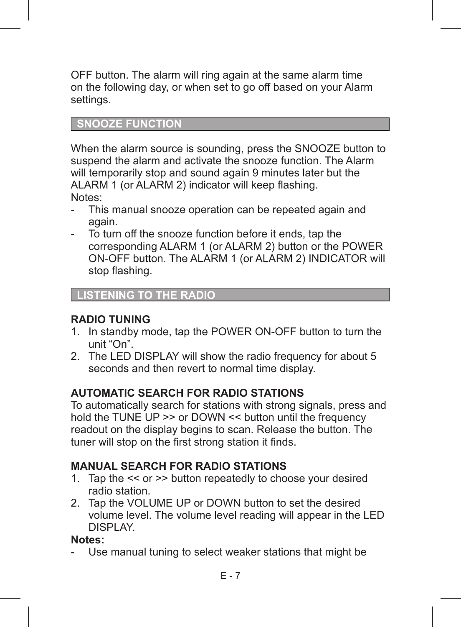OFF button. The alarm will ring again at the same alarm time on the following day, or when set to go off based on your Alarm settings.

#### **SNOOZE FUNCTION**

When the alarm source is sounding, press the SNOOZE button to suspend the alarm and activate the snooze function. The Alarm will temporarily stop and sound again 9 minutes later but the ALARM 1 (or ALARM 2) indicator will keep flashing. Notes:

- This manual snooze operation can be repeated again and again.
- To turn off the snooze function before it ends, tap the corresponding ALARM 1 (or ALARM 2) button or the POWER ON-OFF button. The ALARM 1 (or ALARM 2) INDICATOR will stop flashing.

#### **LISTENING TO THE RADIO**

#### **RADIO TUNING**

- 1. In standby mode, tap the POWER ON-OFF button to turn the unit "On".
- 2. The LED DISPLAY will show the radio frequency for about 5 seconds and then revert to normal time display.

#### **AUTOMATIC SEARCH FOR RADIO STATIONS**

To automatically search for stations with strong signals, press and hold the TUNE UP >> or DOWN << button until the frequency readout on the display begins to scan. Release the button. The tuner will stop on the first strong station it finds.

#### **MANUAL SEARCH FOR RADIO STATIONS**

- 1. Tap the << or >> button repeatedly to choose your desired radio station.
- 2. Tap the VOLUME UP or DOWN button to set the desired volume level. The volume level reading will appear in the LED DISPLAY.

#### **Notes:**

Use manual tuning to select weaker stations that might be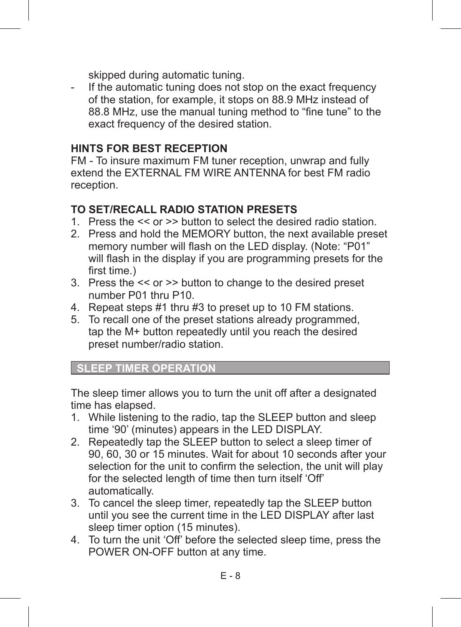skipped during automatic tuning.

If the automatic tuning does not stop on the exact frequency of the station, for example, it stops on 88.9 MHz instead of 88.8 MHz, use the manual tuning method to "fine tune" to the exact frequency of the desired station

#### **HINTS FOR BEST RECEPTION**

FM - To insure maximum FM tuner reception, unwrap and fully extend the EXTERNAL FM WIRE ANTENNA for best FM radio reception.

#### **TO SET/RECALL RADIO STATION PRESETS**

- 1. Press the << or >> button to select the desired radio station.
- 2. Press and hold the MEMORY button, the next available preset memory number will flash on the LED display. (Note: "P01" will flash in the display if you are programming presets for the first time.)
- 3. Press the << or >> button to change to the desired preset number P01 thru P10.
- 4. Repeat steps #1 thru #3 to preset up to 10 FM stations.
- 5. To recall one of the preset stations already programmed, tap the M+ button repeatedly until you reach the desired preset number/radio station.

**SLEEP TIMER OPERATION** 

The sleep timer allows you to turn the unit off after a designated time has elapsed.

- 1. While listening to the radio, tap the SLEEP button and sleep time '90' (minutes) appears in the LED DISPLAY.
- 2. Repeatedly tap the SLEEP button to select a sleep timer of 90, 60, 30 or 15 minutes. Wait for about 10 seconds after your selection for the unit to confirm the selection, the unit will play for the selected length of time then turn itself 'Off' automatically.
- 3. To cancel the sleep timer, repeatedly tap the SLEEP button until you see the current time in the LED DISPLAY after last sleep timer option (15 minutes).
- 4. To turn the unit 'Off' before the selected sleep time, press the POWER ON-OFF button at any time.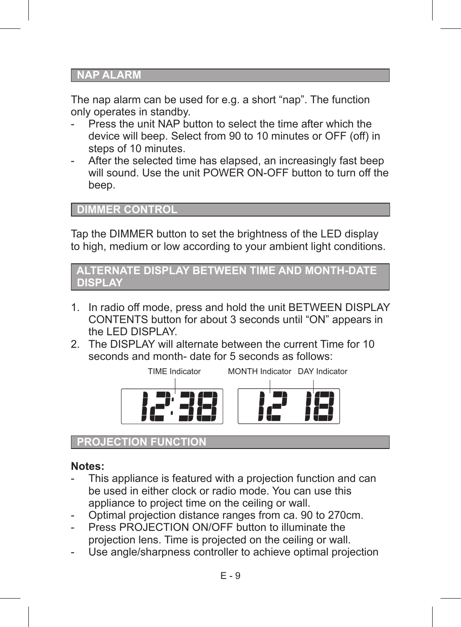#### **NAP ALARM**

The nap alarm can be used for e.g. a short "nap". The function only operates in standby.

- Press the unit NAP button to select the time after which the device will beep. Select from 90 to 10 minutes or OFF (off) in steps of 10 minutes.
- After the selected time has elapsed, an increasingly fast beep will sound. Use the unit POWER ON-OFF button to turn off the beep.

#### **DIMMER CONTROL**

Tap the DIMMER button to set the brightness of the LED display to high, medium or low according to your ambient light conditions.

```
 ALTERNATE DISPLAY BETWEEN TIME AND MONTH-DATE 
DISPLAY
```
- 1. In radio off mode, press and hold the unit BETWEEN DISPLAY CONTENTS button for about 3 seconds until "ON" appears in the LED DISPLAY.
- 2. The DISPLAY will alternate between the current Time for 10 seconds and month- date for 5 seconds as follows:



 **PROJECTION FUNCTION**

#### **Notes:**

- This appliance is featured with a projection function and can be used in either clock or radio mode. You can use this appliance to project time on the ceiling or wall.
- Optimal projection distance ranges from ca. 90 to 270cm.
- Press PROJECTION ON/OFF button to illuminate the projection lens. Time is projected on the ceiling or wall.
- Use angle/sharpness controller to achieve optimal projection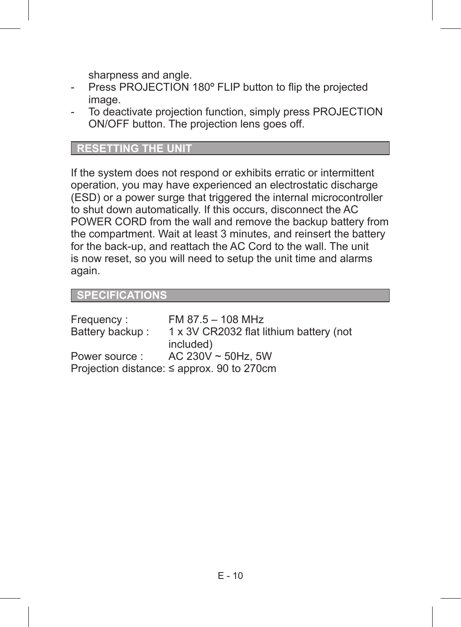sharpness and angle.

- Press PROJECTION 180° FLIP button to flip the projected image
- To deactivate projection function, simply press PROJECTION ON/OFF button. The projection lens goes off.

#### **RESETTING THE UNIT**

If the system does not respond or exhibits erratic or intermittent operation, you may have experienced an electrostatic discharge (ESD) or a power surge that triggered the internal microcontroller to shut down automatically. If this occurs, disconnect the AC POWER CORD from the wall and remove the backup battery from the compartment. Wait at least 3 minutes, and reinsert the battery for the back-up, and reattach the AC Cord to the wall. The unit is now reset, so you will need to setup the unit time and alarms again.

#### **SPECIFICATIONS**

| Frequency:      | FM $87.5 - 108$ MHz                             |
|-----------------|-------------------------------------------------|
| Battery backup: | 1 x 3V CR2032 flat lithium battery (not         |
|                 | included)                                       |
| Power source:   | AC 230V $\sim$ 50Hz, 5W                         |
|                 | Projection distance: $\leq$ approx. 90 to 270cm |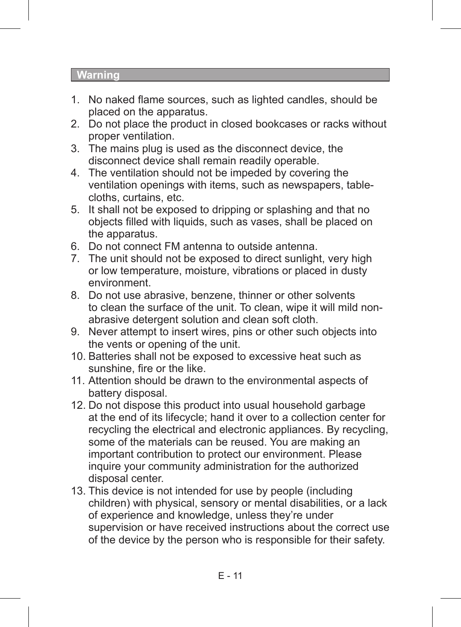#### **Warning**

- 1. No naked flame sources, such as lighted candles, should be placed on the apparatus.
- 2. Do not place the product in closed bookcases or racks without proper ventilation.
- 3. The mains plug is used as the disconnect device, the disconnect device shall remain readily operable.
- 4. The ventilation should not be impeded by covering the ventilation openings with items, such as newspapers, tablecloths, curtains, etc.
- 5. It shall not be exposed to dripping or splashing and that no objects filled with liquids, such as vases, shall be placed on the apparatus.
- 6. Do not connect FM antenna to outside antenna.
- 7. The unit should not be exposed to direct sunlight, very high or low temperature, moisture, vibrations or placed in dusty environment.
- 8. Do not use abrasive, benzene, thinner or other solvents to clean the surface of the unit. To clean, wipe it will mild nonabrasive detergent solution and clean soft cloth.
- 9. Never attempt to insert wires, pins or other such objects into the vents or opening of the unit.
- 10. Batteries shall not be exposed to excessive heat such as sunshine, fire or the like.
- 11. Attention should be drawn to the environmental aspects of battery disposal.
- 12. Do not dispose this product into usual household garbage at the end of its lifecycle; hand it over to a collection center for recycling the electrical and electronic appliances. By recycling, some of the materials can be reused. You are making an important contribution to protect our environment. Please inquire your community administration for the authorized disposal center.
- 13. This device is not intended for use by people (including children) with physical, sensory or mental disabilities, or a lack of experience and knowledge, unless they're under supervision or have received instructions about the correct use of the device by the person who is responsible for their safety.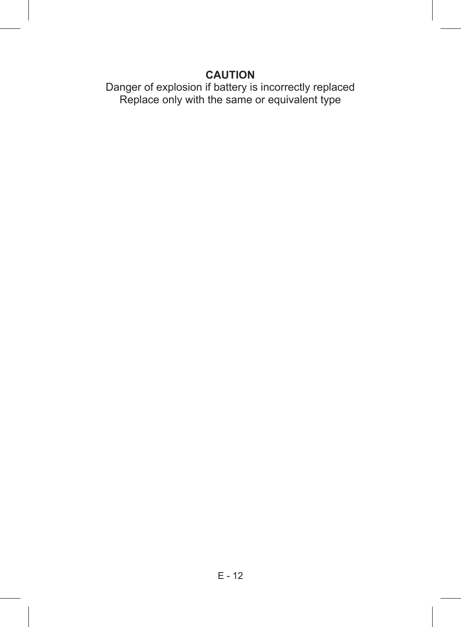### **CAUTION**

Danger of explosion if battery is incorrectly replaced Replace only with the same or equivalent type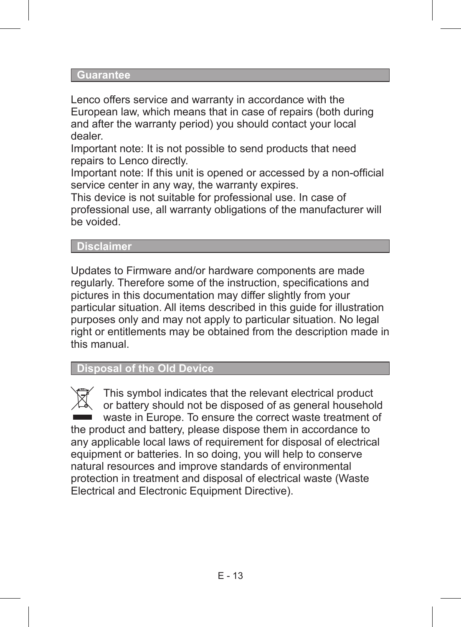#### **Guarantee**

Lenco offers service and warranty in accordance with the European law, which means that in case of repairs (both during and after the warranty period) you should contact your local dealer.

Important note: It is not possible to send products that need repairs to Lenco directly.

Important note: If this unit is opened or accessed by a non-official service center in any way, the warranty expires.

This device is not suitable for professional use. In case of professional use, all warranty obligations of the manufacturer will be voided.

#### **Disclaimer**

Updates to Firmware and/or hardware components are made regularly. Therefore some of the instruction, specifications and pictures in this documentation may differ slightly from your particular situation. All items described in this guide for illustration purposes only and may not apply to particular situation. No legal right or entitlements may be obtained from the description made in this manual.

 **Disposal of the Old Device**

This symbol indicates that the relevant electrical product or battery should not be disposed of as general household waste in Europe. To ensure the correct waste treatment of the product and battery, please dispose them in accordance to any applicable local laws of requirement for disposal of electrical equipment or batteries. In so doing, you will help to conserve natural resources and improve standards of environmental protection in treatment and disposal of electrical waste (Waste Electrical and Electronic Equipment Directive).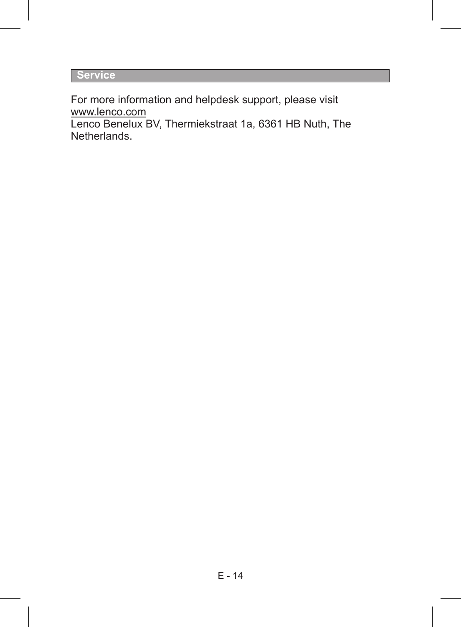**Service**

For more information and helpdesk support, please visit www.lenco.com

Lenco Benelux BV, Thermiekstraat 1a, 6361 HB Nuth, The Netherlands.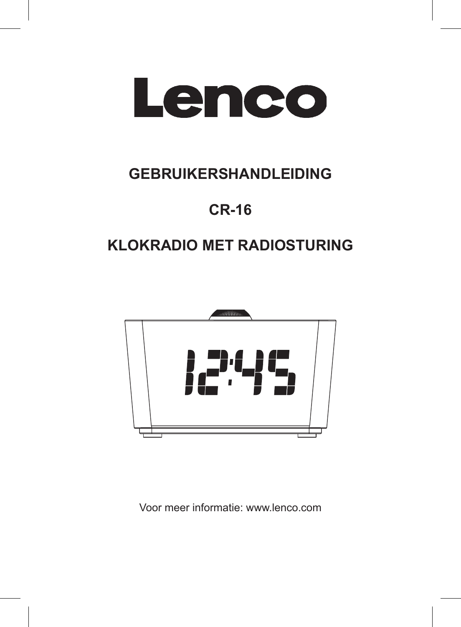

# **GEBRUIKERSHANDLEIDING**

# **CR-16**

# **KLOKRADIO MET RADIOSTURING**



Voor meer informatie: www.lenco.com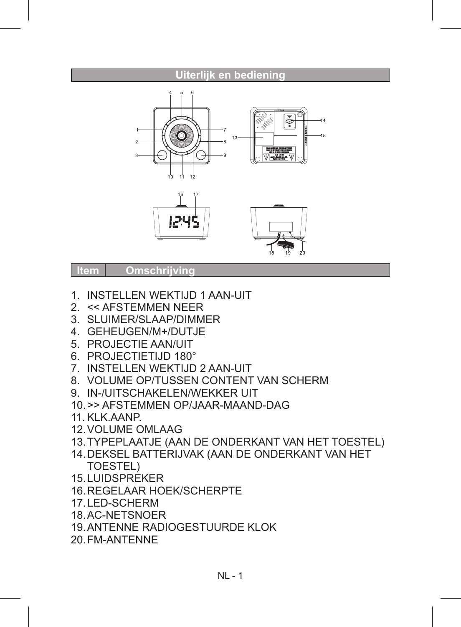# **Uiterlijk en bediening Item Omschrijvin**

- 1. INSTELLEN WEKTIJD 1 AAN-UIT
- 2. << AFSTEMMEN NEER
- 3. SLUIMER/SLAAP/DIMMER
- 4. GEHEUGEN/M+/DUTJE
- 5. PROJECTIE AAN/UIT
- 6. PROJECTIETIJD 180°
- 7. INSTELLEN WEKTIJD 2 AAN-UIT
- 8. VOLUME OP/TUSSEN CONTENT VAN SCHERM
- 9. IN-/UITSCHAKELEN/WEKKER UIT
- 10.>> AFSTEMMEN OP/JAAR-MAAND-DAG
- 11. KLK.AANP.
- 12.VOLUME OMLAAG
- 13.TYPEPLAATJE (AAN DE ONDERKANT VAN HET TOESTEL)
- 14.DEKSEL BATTERIJVAK (AAN DE ONDERKANT VAN HET TOESTEL)
- 15.LUIDSPREKER
- 16.REGELAAR HOEK/SCHERPTE
- 17.LED-SCHERM
- 18.AC-NETSNOER
- 19.ANTENNE RADIOGESTUURDE KLOK
- 20.FM-ANTENNE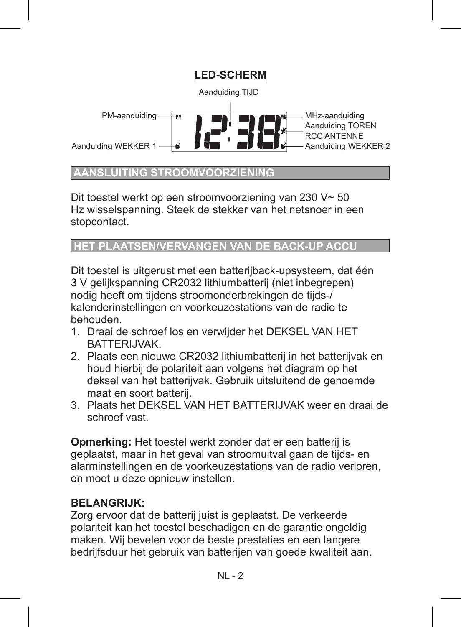

#### **AANSLUITING STROOMVOORZIENING**

Dit toestel werkt op een stroomvoorziening van 230 V~ 50 Hz wisselspanning. Steek de stekker van het netsnoer in een stopcontact.

#### **HET PLAATSEN/VERVANGEN**

Dit toestel is uitgerust met een batterijback-upsysteem, dat één 3 V gelijkspanning CR2032 lithiumbatterij (niet inbegrepen) nodig heeft om tijdens stroomonderbrekingen de tijds-/ kalenderinstellingen en voorkeuzestations van de radio te behouden.

- 1. Draai de schroef los en verwijder het DEKSEL VAN HET BATTERIJVAK.
- 2. Plaats een nieuwe CR2032 lithiumbatterij in het batterijvak en houd hierbij de polariteit aan volgens het diagram op het deksel van het batterijvak. Gebruik uitsluitend de genoemde maat en soort batterij.
- 3. Plaats het DEKSEL VAN HET BATTERIJVAK weer en draai de schroef vast.

**Opmerking:** Het toestel werkt zonder dat er een batterij is geplaatst, maar in het geval van stroomuitval gaan de tijds- en alarminstellingen en de voorkeuzestations van de radio verloren, en moet u deze opnieuw instellen.

#### **BELANGRIJK:**

Zorg ervoor dat de batterij juist is geplaatst. De verkeerde polariteit kan het toestel beschadigen en de garantie ongeldig maken. Wij bevelen voor de beste prestaties en een langere bedrijfsduur het gebruik van batterijen van goede kwaliteit aan.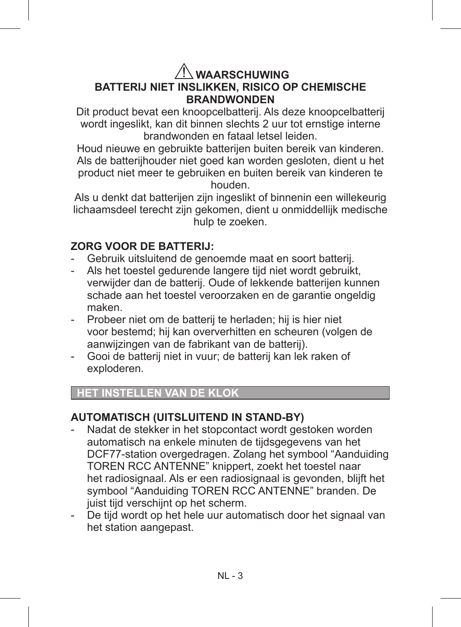#### **WAARSCHUWING BATTERIJ NIET INSLIKKEN, RISICO OP CHEMISCHE BRANDWONDEN**

Dit product bevat een knoopcelbatterij. Als deze knoopcelbatterij wordt ingeslikt, kan dit binnen slechts 2 uur tot ernstige interne brandwonden en fataal letsel leiden.

Houd nieuwe en gebruikte batterijen buiten bereik van kinderen. Als de batterijhouder niet goed kan worden gesloten, dient u het product niet meer te gebruiken en buiten bereik van kinderen te houden.

Als u denkt dat batterijen zijn ingeslikt of binnenin een willekeurig lichaamsdeel terecht zijn gekomen, dient u onmiddellijk medische hulp te zoeken.

#### **ZORG VOOR DE BATTERIJ:**

- Gebruik uitsluitend de genoemde maat en soort batterij.
- Als het toestel gedurende langere tijd niet wordt gebruikt, verwijder dan de batterij. Oude of lekkende batterijen kunnen schade aan het toestel veroorzaken en de garantie ongeldig maken.
- Probeer niet om de batterij te herladen; hij is hier niet voor bestemd; hij kan oververhitten en scheuren (volgen de aanwijzingen van de fabrikant van de batterij).
- Gooi de batterij niet in vuur; de batterij kan lek raken of exploderen.

#### **HET INSTELLEN VAN DE KLOK**

#### **AUTOMATISCH (UITSLUITEND IN STAND-BY)**

- Nadat de stekker in het stopcontact wordt gestoken worden automatisch na enkele minuten de tijdsgegevens van het DCF77-station overgedragen. Zolang het symbool "Aanduiding TOREN RCC ANTENNE" knippert, zoekt het toestel naar het radiosignaal. Als er een radiosignaal is gevonden, blijft het symbool "Aanduiding TOREN RCC ANTENNE" branden. De juist tijd verschijnt op het scherm.
- De tijd wordt op het hele uur automatisch door het signaal van het station aangepast.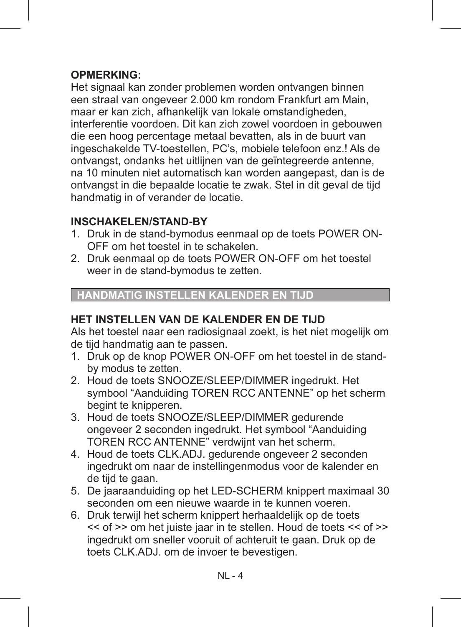#### **OPMERKING:**

Het signaal kan zonder problemen worden ontvangen binnen een straal van ongeveer 2.000 km rondom Frankfurt am Main, maar er kan zich, afhankelijk van lokale omstandigheden, interferentie voordoen. Dit kan zich zowel voordoen in gebouwen die een hoog percentage metaal bevatten, als in de buurt van ingeschakelde TV-toestellen, PC's, mobiele telefoon enz.! Als de ontvangst, ondanks het uitlijnen van de geïntegreerde antenne, na 10 minuten niet automatisch kan worden aangepast, dan is de ontvangst in die bepaalde locatie te zwak. Stel in dit geval de tijd handmatig in of verander de locatie.

#### **INSCHAKELEN/STAND-BY**

- 1. Druk in de stand-bymodus eenmaal op de toets POWER ON-OFF om het toestel in te schakelen.
- 2. Druk eenmaal op de toets POWER ON-OFF om het toestel weer in de stand-bymodus te zetten.

#### **HANDMATIG INSTELLEN KALENDER EN TIJD**

#### **HET INSTELLEN VAN DE KALENDER EN DE TIJD**

Als het toestel naar een radiosignaal zoekt, is het niet mogelijk om de tijd handmatig aan te passen.

- 1. Druk op de knop POWER ON-OFF om het toestel in de standby modus te zetten.
- 2. Houd de toets SNOOZE/SLEEP/DIMMER ingedrukt. Het symbool "Aanduiding TOREN RCC ANTENNE" op het scherm begint te knipperen.
- 3. Houd de toets SNOOZE/SLEEP/DIMMER gedurende ongeveer 2 seconden ingedrukt. Het symbool "Aanduiding TOREN RCC ANTENNE" verdwijnt van het scherm.
- 4. Houd de toets CLK.ADJ. gedurende ongeveer 2 seconden ingedrukt om naar de instellingenmodus voor de kalender en de tijd te gaan.
- 5. De jaaraanduiding op het LED-SCHERM knippert maximaal 30 seconden om een nieuwe waarde in te kunnen voeren.
- 6. Druk terwijl het scherm knippert herhaaldelijk op de toets << of >> om het juiste jaar in te stellen. Houd de toets << of >> ingedrukt om sneller vooruit of achteruit te gaan. Druk op de toets CLK.ADJ. om de invoer te bevestigen.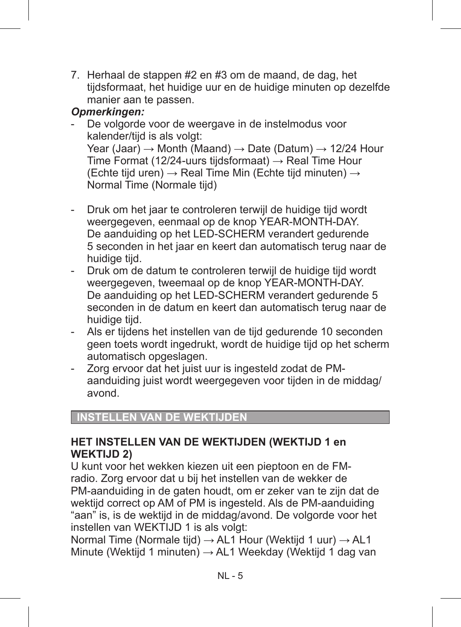7. Herhaal de stappen #2 en #3 om de maand, de dag, het tijdsformaat, het huidige uur en de huidige minuten op dezelfde manier aan te passen.

#### *Opmerkingen:*

- De volgorde voor de weergave in de instelmodus voor kalender/tijd is als volgt: Year (Jaar)  $\rightarrow$  Month (Maand)  $\rightarrow$  Date (Datum)  $\rightarrow$  12/24 Hour Time Format (12/24-uurs tijdsformaat)  $\rightarrow$  Real Time Hour (Echte tijd uren) → Real Time Min (Echte tijd minuten) → Normal Time (Normale tijd)
- Druk om het jaar te controleren terwijl de huidige tijd wordt weergegeven, eenmaal op de knop YEAR-MONTH-DAY. De aanduiding op het LED-SCHERM verandert gedurende 5 seconden in het jaar en keert dan automatisch terug naar de huidige tijd.
- Druk om de datum te controleren terwijl de huidige tijd wordt weergegeven, tweemaal op de knop YEAR-MONTH-DAY. De aanduiding op het LED-SCHERM verandert gedurende 5 seconden in de datum en keert dan automatisch terug naar de huidige tijd.
- Als er tijdens het instellen van de tijd gedurende 10 seconden geen toets wordt ingedrukt, wordt de huidige tijd op het scherm automatisch opgeslagen.
- Zorg ervoor dat het juist uur is ingesteld zodat de PMaanduiding juist wordt weergegeven voor tijden in de middag/ avond.

#### **INSTELLEN VAN DE WEKTIJDE**

#### **HET INSTELLEN VAN DE WEKTIJDEN (WEKTIJD 1 en WEKTIJD 2)**

U kunt voor het wekken kiezen uit een pieptoon en de FMradio. Zorg ervoor dat u bij het instellen van de wekker de PM-aanduiding in de gaten houdt, om er zeker van te zijn dat de wektijd correct op AM of PM is ingesteld. Als de PM-aanduiding "aan" is, is de wektijd in de middag/avond. De volgorde voor het instellen van WEKTIJD 1 is als volgt:

Normal Time (Normale tiid)  $\rightarrow$  AL1 Hour (Wektiid 1 uur)  $\rightarrow$  AL1 Minute (Wektijd 1 minuten) → AL1 Weekday (Wektijd 1 dag van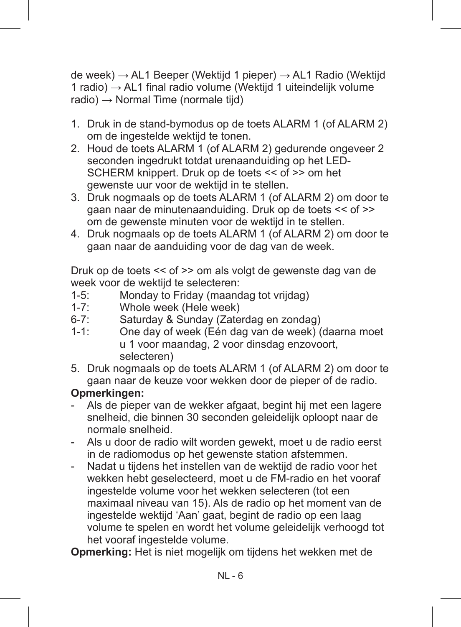de week) → AL1 Beeper (Wektijd 1 pieper) → AL1 Radio (Wektijd 1 radio) → AL1 final radio volume (Wektijd 1 uiteindelijk volume  $radio) \rightarrow Normal$  Time (normale tiid)

- 1. Druk in de stand-bymodus op de toets ALARM 1 (of ALARM 2) om de ingestelde wektijd te tonen.
- 2. Houd de toets ALARM 1 (of ALARM 2) gedurende ongeveer 2 seconden ingedrukt totdat urenaanduiding op het LED-SCHERM knippert. Druk op de toets << of >> om het gewenste uur voor de wektijd in te stellen.
- 3. Druk nogmaals op de toets ALARM 1 (of ALARM 2) om door te gaan naar de minutenaanduiding. Druk op de toets << of >> om de gewenste minuten voor de wektijd in te stellen.
- 4. Druk nogmaals op de toets ALARM 1 (of ALARM 2) om door te gaan naar de aanduiding voor de dag van de week.

Druk op de toets << of >> om als volgt de gewenste dag van de week voor de wektijd te selecteren:

- 1-5: Monday to Friday (maandag tot vrijdag)
- 1-7: Whole week (Hele week)<br>6-7: Saturday & Sunday (Zate
- 6-7: Saturday & Sunday (Zaterdag en zondag)<br>1-1: One day of week (Fén dag van de week) (
- One day of week (Eén dag van de week) (daarna moet u 1 voor maandag, 2 voor dinsdag enzovoort, selecteren)
- 5. Druk nogmaals op de toets ALARM 1 (of ALARM 2) om door te gaan naar de keuze voor wekken door de pieper of de radio.

#### **Opmerkingen:**

- Als de pieper van de wekker afgaat, begint hij met een lagere snelheid, die binnen 30 seconden geleidelijk oploopt naar de normale snelheid.
- Als u door de radio wilt worden gewekt, moet u de radio eerst in de radiomodus op het gewenste station afstemmen.
- Nadat u tijdens het instellen van de wektijd de radio voor het wekken hebt geselecteerd, moet u de FM-radio en het vooraf ingestelde volume voor het wekken selecteren (tot een maximaal niveau van 15). Als de radio op het moment van de ingestelde wektijd 'Aan' gaat, begint de radio op een laag volume te spelen en wordt het volume geleidelijk verhoogd tot het vooraf ingestelde volume.

**Opmerking:** Het is niet mogelijk om tijdens het wekken met de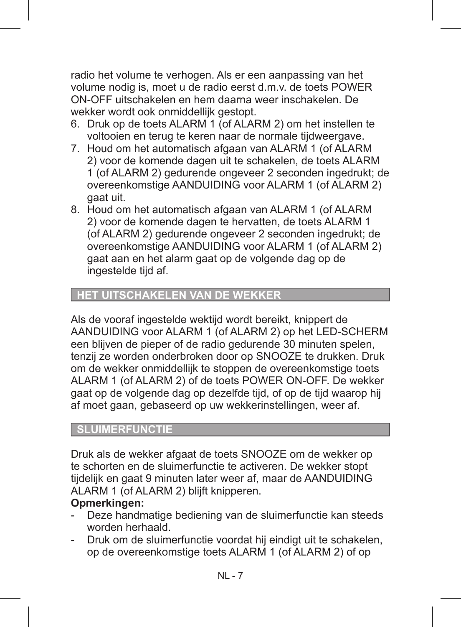radio het volume te verhogen. Als er een aanpassing van het volume nodig is, moet u de radio eerst d.m.v. de toets POWER ON-OFF uitschakelen en hem daarna weer inschakelen. De wekker wordt ook onmiddellijk gestopt.

- 6. Druk op de toets ALARM 1 (of ALARM 2) om het instellen te voltooien en terug te keren naar de normale tijdweergave.
- 7. Houd om het automatisch afgaan van ALARM 1 (of ALARM 2) voor de komende dagen uit te schakelen, de toets ALARM 1 (of ALARM 2) gedurende ongeveer 2 seconden ingedrukt; de overeenkomstige AANDUIDING voor ALARM 1 (of ALARM 2) gaat uit.
- 8. Houd om het automatisch afgaan van ALARM 1 (of ALARM 2) voor de komende dagen te hervatten, de toets ALARM 1 (of ALARM 2) gedurende ongeveer 2 seconden ingedrukt; de overeenkomstige AANDUIDING voor ALARM 1 (of ALARM 2) gaat aan en het alarm gaat op de volgende dag op de ingestelde tijd af.

#### **HET UITSCHAKELEN VAN DE WEKKER**

Als de vooraf ingestelde wektijd wordt bereikt, knippert de AANDUIDING voor ALARM 1 (of ALARM 2) op het LED-SCHERM een blijven de pieper of de radio gedurende 30 minuten spelen, tenzij ze worden onderbroken door op SNOOZE te drukken. Druk om de wekker onmiddellijk te stoppen de overeenkomstige toets ALARM 1 (of ALARM 2) of de toets POWER ON-OFF. De wekker gaat op de volgende dag op dezelfde tijd, of op de tijd waarop hij af moet gaan, gebaseerd op uw wekkerinstellingen, weer af.

#### **SLUIMERFUNCTIE**

Druk als de wekker afgaat de toets SNOOZE om de wekker op te schorten en de sluimerfunctie te activeren. De wekker stopt tijdelijk en gaat 9 minuten later weer af, maar de AANDUIDING ALARM 1 (of ALARM 2) blijft knipperen.

#### **Opmerkingen:**

- Deze handmatige bediening van de sluimerfunctie kan steeds worden herhaald.
- Druk om de sluimerfunctie voordat hij eindigt uit te schakelen, op de overeenkomstige toets ALARM 1 (of ALARM 2) of op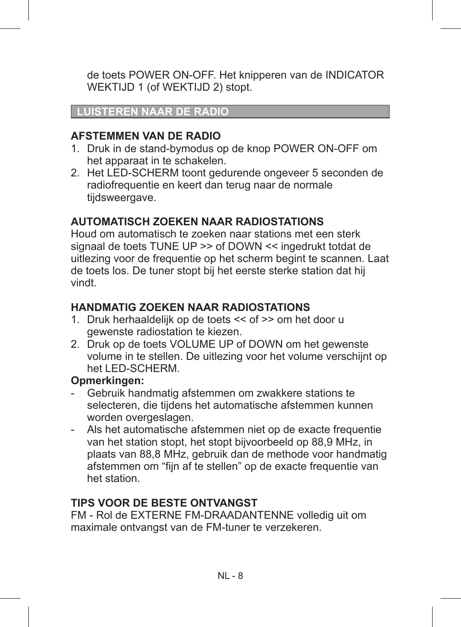de toets POWER ON-OFF. Het knipperen van de INDICATOR WEKTIJD 1 (of WEKTIJD 2) stopt.

#### **LUISTEREN NAAR DE RADIO**

#### **AFSTEMMEN VAN DE RADIO**

- 1. Druk in de stand-bymodus op de knop POWER ON-OFF om het apparaat in te schakelen.
- 2. Het LED-SCHERM toont gedurende ongeveer 5 seconden de radiofrequentie en keert dan terug naar de normale tijdsweergave.

#### **AUTOMATISCH ZOEKEN NAAR RADIOSTATIONS**

Houd om automatisch te zoeken naar stations met een sterk signaal de toets TUNE UP >> of DOWN << ingedrukt totdat de uitlezing voor de frequentie op het scherm begint te scannen. Laat de toets los. De tuner stopt bij het eerste sterke station dat hij vindt.

#### **HANDMATIG ZOEKEN NAAR RADIOSTATIONS**

- 1. Druk herhaaldelijk op de toets << of >> om het door u gewenste radiostation te kiezen.
- 2. Druk op de toets VOLUME UP of DOWN om het gewenste volume in te stellen. De uitlezing voor het volume verschijnt op het LED-SCHERM.

#### **Opmerkingen:**

- Gebruik handmatig afstemmen om zwakkere stations te selecteren, die tijdens het automatische afstemmen kunnen worden overgeslagen.
- Als het automatische afstemmen niet op de exacte frequentie van het station stopt, het stopt bijvoorbeeld op 88,9 MHz, in plaats van 88,8 MHz, gebruik dan de methode voor handmatig afstemmen om "fijn af te stellen" op de exacte frequentie van het station.

#### **TIPS VOOR DE BESTE ONTVANGST**

FM - Rol de EXTERNE FM-DRAADANTENNE volledig uit om maximale ontvangst van de FM-tuner te verzekeren.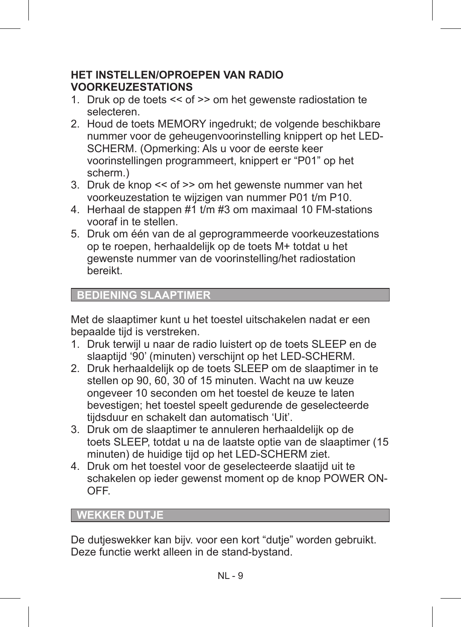#### **HET INSTELLEN/OPROEPEN VAN RADIO VOORKEUZESTATIONS**

- 1. Druk op de toets << of >> om het gewenste radiostation te selecteren.
- 2. Houd de toets MEMORY ingedrukt; de volgende beschikbare nummer voor de geheugenvoorinstelling knippert op het LED-SCHERM. (Opmerking: Als u voor de eerste keer voorinstellingen programmeert, knippert er "P01" op het scherm.)
- 3. Druk de knop << of >> om het gewenste nummer van het voorkeuzestation te wijzigen van nummer P01 t/m P10.
- 4. Herhaal de stappen #1 t/m #3 om maximaal 10 FM-stations vooraf in te stellen.
- 5. Druk om één van de al geprogrammeerde voorkeuzestations op te roepen, herhaaldelijk op de toets M+ totdat u het gewenste nummer van de voorinstelling/het radiostation bereikt.

#### **BEDIENING SLAAPTIMER**

Met de slaaptimer kunt u het toestel uitschakelen nadat er een bepaalde tijd is verstreken.

- 1. Druk terwijl u naar de radio luistert op de toets SLEEP en de slaaptijd '90' (minuten) verschijnt op het LED-SCHERM.
- 2. Druk herhaaldelijk op de toets SLEEP om de slaaptimer in te stellen op 90, 60, 30 of 15 minuten. Wacht na uw keuze ongeveer 10 seconden om het toestel de keuze te laten bevestigen; het toestel speelt gedurende de geselecteerde tijdsduur en schakelt dan automatisch 'Uit'.
- 3. Druk om de slaaptimer te annuleren herhaaldelijk op de toets SLEEP, totdat u na de laatste optie van de slaaptimer (15 minuten) de huidige tijd op het LED-SCHERM ziet.
- 4. Druk om het toestel voor de geselecteerde slaatijd uit te schakelen op ieder gewenst moment op de knop POWER ON-OFF.

#### **WEKKER DUTJE**

De dutjeswekker kan bijv. voor een kort "dutje" worden gebruikt. Deze functie werkt alleen in de stand-bystand.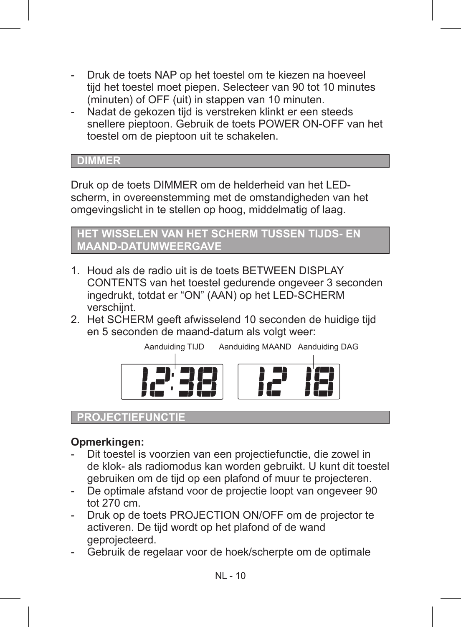- Druk de toets NAP op het toestel om te kiezen na hoeveel tijd het toestel moet piepen. Selecteer van 90 tot 10 minutes (minuten) of OFF (uit) in stappen van 10 minuten.
- Nadat de gekozen tijd is verstreken klinkt er een steeds snellere pieptoon. Gebruik de toets POWER ON-OFF van het toestel om de pieptoon uit te schakelen.

#### **DIMMER**

Druk op de toets DIMMER om de helderheid van het LEDscherm, in overeenstemming met de omstandigheden van het omgevingslicht in te stellen op hoog, middelmatig of laag.

#### **HET WISSELEN VAN HET SCHERM TUSSEN TIJDS- EN MAAND-DATUMWEERGAVE**

- 1. Houd als de radio uit is de toets BETWEEN DISPLAY CONTENTS van het toestel gedurende ongeveer 3 seconden ingedrukt, totdat er "ON" (AAN) op het LED-SCHERM verschijnt.
- 2. Het SCHERM geeft afwisselend 10 seconden de huidige tijd en 5 seconden de maand-datum als volgt weer:



#### **PROJECTIEFUNCTI**

#### **Opmerkingen:**

- Dit toestel is voorzien van een projectiefunctie, die zowel in de klok- als radiomodus kan worden gebruikt. U kunt dit toestel gebruiken om de tijd op een plafond of muur te projecteren.
- De optimale afstand voor de projectie loopt van ongeveer 90 tot 270 cm.
- Druk op de toets PROJECTION ON/OFF om de projector te activeren. De tijd wordt op het plafond of de wand geprojecteerd.
- Gebruik de regelaar voor de hoek/scherpte om de optimale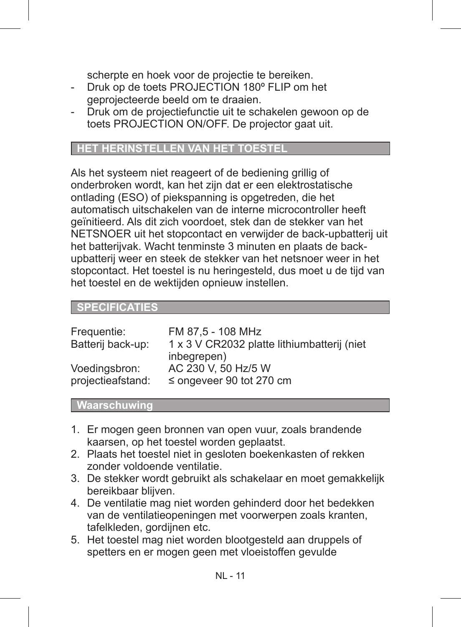scherpte en hoek voor de projectie te bereiken.

- Druk op de toets PROJECTION 180º FLIP om het geprojecteerde beeld om te draaien.
- Druk om de projectiefunctie uit te schakelen gewoon op de toets PROJECTION ON/OFF. De projector gaat uit.

#### **HET HERINSTELLEN VAN HET TOESTEL**

Als het systeem niet reageert of de bediening grillig of onderbroken wordt, kan het zijn dat er een elektrostatische ontlading (ESO) of piekspanning is opgetreden, die het automatisch uitschakelen van de interne microcontroller heeft geïnitieerd. Als dit zich voordoet, stek dan de stekker van het NETSNOER uit het stopcontact en verwijder de back-upbatterij uit het batterijvak. Wacht tenminste 3 minuten en plaats de backupbatterij weer en steek de stekker van het netsnoer weer in het stopcontact. Het toestel is nu heringesteld, dus moet u de tijd van het toestel en de wektijden opnieuw instellen.

#### **SPECIFICATIES**

| 1 x 3 V CR2032 platte lithiumbatterij (niet |
|---------------------------------------------|
|                                             |
|                                             |
|                                             |
|                                             |

#### **Waarschuwing**

- 1. Er mogen geen bronnen van open vuur, zoals brandende kaarsen, op het toestel worden geplaatst.
- 2. Plaats het toestel niet in gesloten boekenkasten of rekken zonder voldoende ventilatie.
- 3. De stekker wordt gebruikt als schakelaar en moet gemakkelijk bereikbaar blijven.
- 4. De ventilatie mag niet worden gehinderd door het bedekken van de ventilatieopeningen met voorwerpen zoals kranten, tafelkleden, gordijnen etc.
- 5. Het toestel mag niet worden blootgesteld aan druppels of spetters en er mogen geen met vloeistoffen gevulde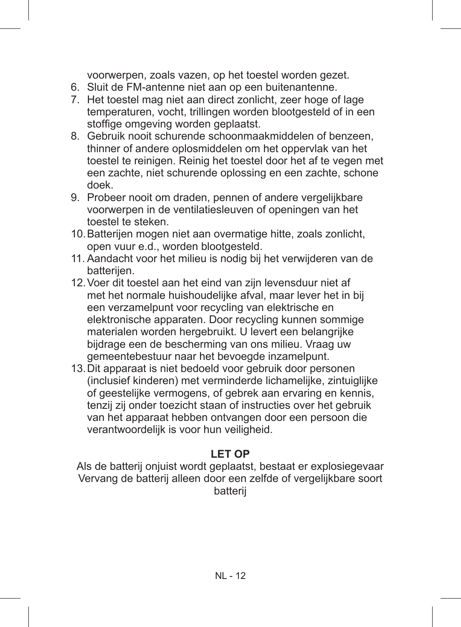voorwerpen, zoals vazen, op het toestel worden gezet.

- 6. Sluit de FM-antenne niet aan op een buitenantenne.
- 7. Het toestel mag niet aan direct zonlicht, zeer hoge of lage temperaturen, vocht, trillingen worden blootgesteld of in een stoffige omgeving worden geplaatst.
- 8. Gebruik nooit schurende schoonmaakmiddelen of benzeen, thinner of andere oplosmiddelen om het oppervlak van het toestel te reinigen. Reinig het toestel door het af te vegen met een zachte, niet schurende oplossing en een zachte, schone doek.
- 9. Probeer nooit om draden, pennen of andere vergelijkbare voorwerpen in de ventilatiesleuven of openingen van het toestel te steken.
- 10.Batterijen mogen niet aan overmatige hitte, zoals zonlicht, open vuur e.d., worden blootgesteld.
- 11. Aandacht voor het milieu is nodig bij het verwijderen van de batterijen.
- 12.Voer dit toestel aan het eind van zijn levensduur niet af met het normale huishoudelijke afval, maar lever het in bij een verzamelpunt voor recycling van elektrische en elektronische apparaten. Door recycling kunnen sommige materialen worden hergebruikt. U levert een belangrijke bijdrage een de bescherming van ons milieu. Vraag uw gemeentebestuur naar het bevoegde inzamelpunt.
- 13.Dit apparaat is niet bedoeld voor gebruik door personen (inclusief kinderen) met verminderde lichamelijke, zintuiglijke of geestelijke vermogens, of gebrek aan ervaring en kennis, tenzij zij onder toezicht staan of instructies over het gebruik van het apparaat hebben ontvangen door een persoon die verantwoordelijk is voor hun veiligheid.

#### **LET OP**

Als de batterij onjuist wordt geplaatst, bestaat er explosiegevaar Vervang de batterij alleen door een zelfde of vergelijkbare soort batterij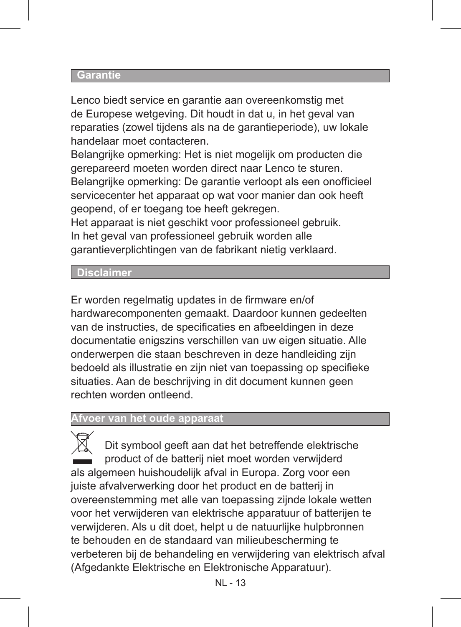#### **Garantie**

Lenco biedt service en garantie aan overeenkomstig met de Europese wetgeving. Dit houdt in dat u, in het geval van reparaties (zowel tijdens als na de garantieperiode), uw lokale handelaar moet contacteren.

Belangrijke opmerking: Het is niet mogelijk om producten die gerepareerd moeten worden direct naar Lenco te sturen. Belangrijke opmerking: De garantie verloopt als een onofficieel servicecenter het apparaat op wat voor manier dan ook heeft geopend, of er toegang toe heeft gekregen.

Het apparaat is niet geschikt voor professioneel gebruik. In het geval van professioneel gebruik worden alle garantieverplichtingen van de fabrikant nietig verklaard.

#### **Disclaimer**

Er worden regelmatig updates in de firmware en/of hardwarecomponenten gemaakt. Daardoor kunnen gedeelten van de instructies, de specificaties en afbeeldingen in deze documentatie enigszins verschillen van uw eigen situatie. Alle onderwerpen die staan beschreven in deze handleiding zijn bedoeld als illustratie en zijn niet van toepassing op specifieke situaties. Aan de beschrijving in dit document kunnen geen rechten worden ontleend.

#### **Afvoer van het oude apparaat**

Dit symbool geeft aan dat het betreffende elektrische product of de batterij niet moet worden verwijderd als algemeen huishoudelijk afval in Europa. Zorg voor een juiste afvalverwerking door het product en de batterij in overeenstemming met alle van toepassing zijnde lokale wetten voor het verwijderen van elektrische apparatuur of batterijen te verwijderen. Als u dit doet, helpt u de natuurlijke hulpbronnen te behouden en de standaard van milieubescherming te verbeteren bij de behandeling en verwijdering van elektrisch afval (Afgedankte Elektrische en Elektronische Apparatuur).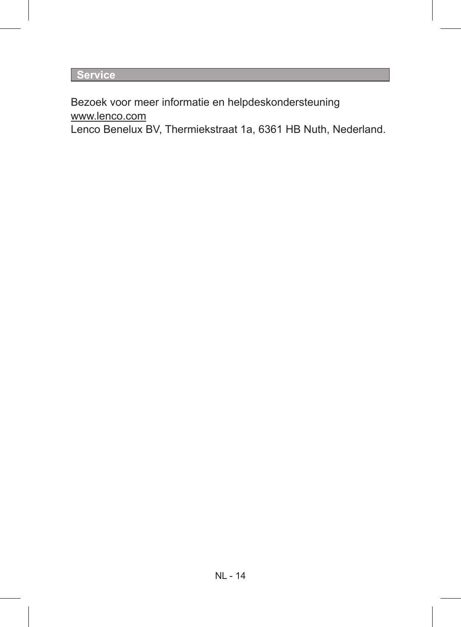**Service**

Bezoek voor meer informatie en helpdeskondersteuning www.lenco.com

Lenco Benelux BV, Thermiekstraat 1a, 6361 HB Nuth, Nederland.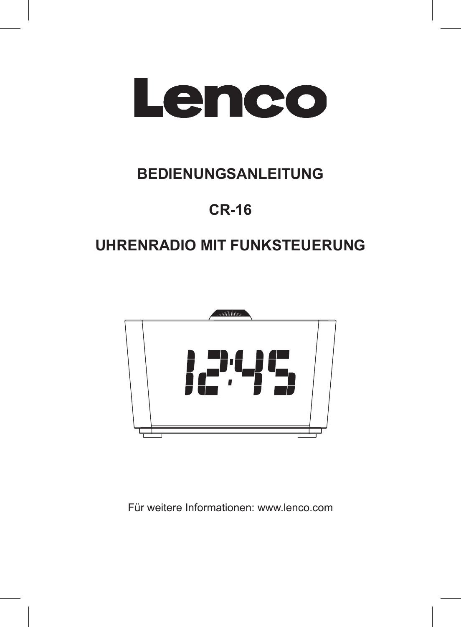

# **BEDIENUNGSANLEITUNG**

# **CR-16**

# **UHRENRADIO MIT FUNKSTEUERUNG**



Für weitere Informationen: www.lenco.com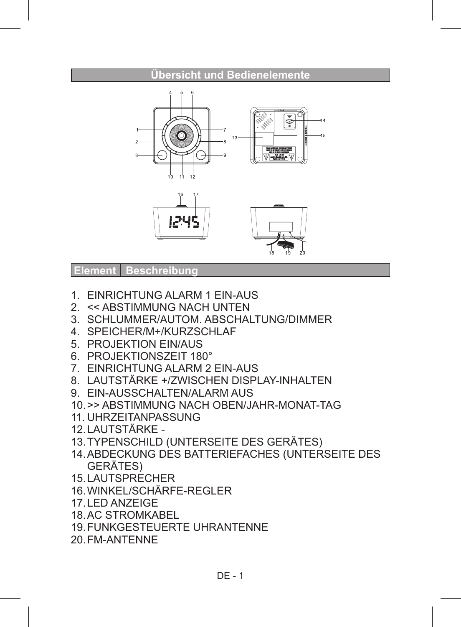#### **Übersicht und Bedienelemente**





**Element Beschreibun** 

- 1. EINRICHTUNG ALARM 1 EIN-AUS
- 2. << ABSTIMMUNG NACH UNTEN
- 3. SCHLUMMER/AUTOM. ABSCHALTUNG/DIMMER
- 4. SPEICHER/M+/KURZSCHLAF
- 5. PROJEKTION EIN/AUS
- 6. PROJEKTIONSZEIT 180°
- 7. EINRICHTUNG ALARM 2 EIN-AUS
- 8. LAUTSTÄRKE +/ZWISCHEN DISPLAY-INHALTEN
- 9. EIN-AUSSCHALTEN/ALARM AUS
- 10.>> ABSTIMMUNG NACH OBEN/JAHR-MONAT-TAG
- 11. UHRZEITANPASSUNG
- 12.LAUTSTÄRKE -
- 13.TYPENSCHILD (UNTERSEITE DES GERÄTES)
- 14.ABDECKUNG DES BATTERIEFACHES (UNTERSEITE DES GERÄTES)
- 15.LAUTSPRECHER
- 16.WINKEL/SCHÄRFE-REGLER
- 17.LED ANZEIGE
- 18.AC STROMKABEL
- 19.FUNKGESTEUERTE UHRANTENNE
- 20.FM-ANTENNE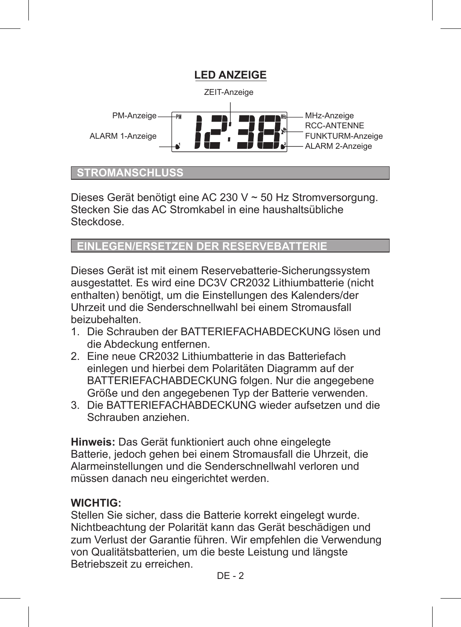

#### **STROMANSCHLUS**

Dieses Gerät benötigt eine AC 230 V ~ 50 Hz Stromversorgung. Stecken Sie das AC Stromkabel in eine haushaltsübliche **Steckdose** 

#### **EINLEGEN/ERSETZEN DER RESERVEBATTERIE**

Dieses Gerät ist mit einem Reservebatterie-Sicherungssystem ausgestattet. Es wird eine DC3V CR2032 Lithiumbatterie (nicht enthalten) benötigt, um die Einstellungen des Kalenders/der Uhrzeit und die Senderschnellwahl bei einem Stromausfall beizubehalten.

- 1. Die Schrauben der BATTERIEFACHABDECKUNG lösen und die Abdeckung entfernen.
- 2. Eine neue CR2032 Lithiumbatterie in das Batteriefach einlegen und hierbei dem Polaritäten Diagramm auf der BATTERIEFACHABDECKUNG folgen. Nur die angegebene Größe und den angegebenen Typ der Batterie verwenden.
- 3. Die BATTERIEFACHABDECKUNG wieder aufsetzen und die Schrauben anziehen.

**Hinweis:** Das Gerät funktioniert auch ohne eingelegte Batterie, jedoch gehen bei einem Stromausfall die Uhrzeit, die Alarmeinstellungen und die Senderschnellwahl verloren und müssen danach neu eingerichtet werden.

#### **WICHTIG:**

Stellen Sie sicher, dass die Batterie korrekt eingelegt wurde. Nichtbeachtung der Polarität kann das Gerät beschädigen und zum Verlust der Garantie führen. Wir empfehlen die Verwendung von Qualitätsbatterien, um die beste Leistung und längste Betriebszeit zu erreichen.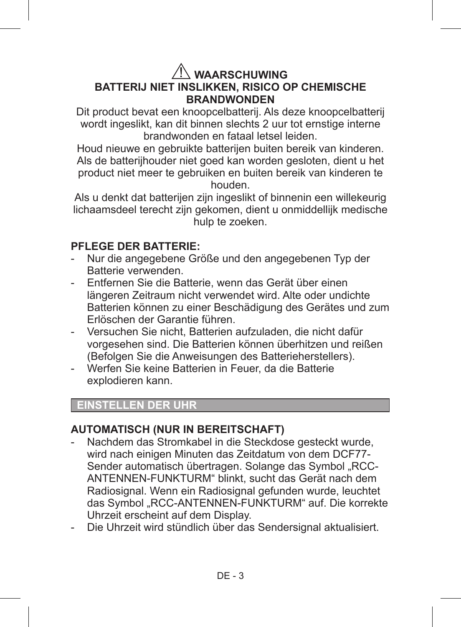#### **WAARSCHUWING BATTERIJ NIET INSLIKKEN, RISICO OP CHEMISCHE BRANDWONDEN**

Dit product bevat een knoopcelbatterij. Als deze knoopcelbatterij wordt ingeslikt, kan dit binnen slechts 2 uur tot ernstige interne brandwonden en fataal letsel leiden.

Houd nieuwe en gebruikte batterijen buiten bereik van kinderen. Als de batterijhouder niet goed kan worden gesloten, dient u het product niet meer te gebruiken en buiten bereik van kinderen te houden.

Als u denkt dat batterijen zijn ingeslikt of binnenin een willekeurig lichaamsdeel terecht zijn gekomen, dient u onmiddellijk medische hulp te zoeken.

#### **PFLEGE DER BATTERIE:**

- Nur die angegebene Größe und den angegebenen Typ der Batterie verwenden.
- Entfernen Sie die Batterie, wenn das Gerät über einen längeren Zeitraum nicht verwendet wird. Alte oder undichte Batterien können zu einer Beschädigung des Gerätes und zum Erlöschen der Garantie führen.
- Versuchen Sie nicht, Batterien aufzuladen, die nicht dafür vorgesehen sind. Die Batterien können überhitzen und reißen (Befolgen Sie die Anweisungen des Batterieherstellers).
- Werfen Sie keine Batterien in Feuer, da die Batterie explodieren kann.

#### **EINSTELLEN DER UHR**

#### **AUTOMATISCH (NUR IN BEREITSCHAFT)**

- Nachdem das Stromkabel in die Steckdose gesteckt wurde, wird nach einigen Minuten das Zeitdatum von dem DCF77- Sender automatisch übertragen. Solange das Symbol "RCC-ANTENNEN-FUNKTURM" blinkt, sucht das Gerät nach dem Radiosignal. Wenn ein Radiosignal gefunden wurde, leuchtet das Symbol "RCC-ANTENNEN-FUNKTURM" auf. Die korrekte Uhrzeit erscheint auf dem Display.
- Die Uhrzeit wird stündlich über das Sendersignal aktualisiert.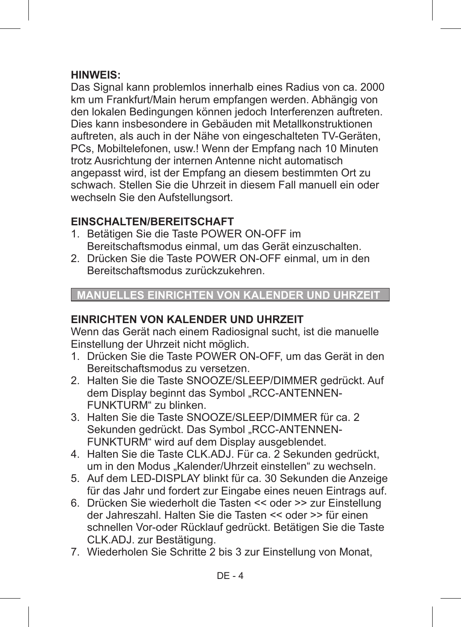#### **HINWEIS:**

Das Signal kann problemlos innerhalb eines Radius von ca. 2000 km um Frankfurt/Main herum empfangen werden. Abhängig von den lokalen Bedingungen können jedoch Interferenzen auftreten. Dies kann insbesondere in Gebäuden mit Metallkonstruktionen auftreten, als auch in der Nähe von eingeschalteten TV-Geräten, PCs, Mobiltelefonen, usw.! Wenn der Empfang nach 10 Minuten trotz Ausrichtung der internen Antenne nicht automatisch angepasst wird, ist der Empfang an diesem bestimmten Ort zu schwach. Stellen Sie die Uhrzeit in diesem Fall manuell ein oder wechseln Sie den Aufstellungsort.

#### **EINSCHALTEN/BEREITSCHAFT**

- 1. Betätigen Sie die Taste POWER ON-OFF im Bereitschaftsmodus einmal, um das Gerät einzuschalten.
- 2. Drücken Sie die Taste POWER ON-OFF einmal, um in den Bereitschaftsmodus zurückzukehren.

 **MANUELLES EINRICHTEN VON KALENDER UND UHRZEIT**

#### **EINRICHTEN VON KALENDER UND UHRZEIT**

Wenn das Gerät nach einem Radiosignal sucht, ist die manuelle Einstellung der Uhrzeit nicht möglich.

- 1. Drücken Sie die Taste POWER ON-OFF, um das Gerät in den Bereitschaftsmodus zu versetzen.
- 2. Halten Sie die Taste SNOOZE/SLEEP/DIMMER gedrückt. Auf dem Display beginnt das Symbol "RCC-ANTENNEN-FUNKTURM" zu blinken.
- 3. Halten Sie die Taste SNOOZE/SLEEP/DIMMER für ca. 2 Sekunden gedrückt. Das Symbol "RCC-ANTENNEN-FUNKTURM" wird auf dem Display ausgeblendet.
- 4. Halten Sie die Taste CLK.ADJ. Für ca. 2 Sekunden gedrückt, um in den Modus "Kalender/Uhrzeit einstellen" zu wechseln.
- 5. Auf dem LED-DISPLAY blinkt für ca. 30 Sekunden die Anzeige für das Jahr und fordert zur Eingabe eines neuen Eintrags auf.
- 6. Drücken Sie wiederholt die Tasten << oder >> zur Einstellung der Jahreszahl. Halten Sie die Tasten << oder >> für einen schnellen Vor-oder Rücklauf gedrückt. Betätigen Sie die Taste CLK.ADJ. zur Bestätigung.
- 7. Wiederholen Sie Schritte 2 bis 3 zur Einstellung von Monat,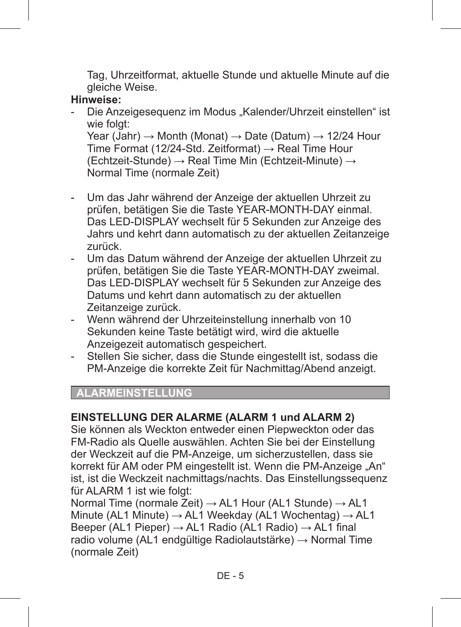Tag, Uhrzeitformat, aktuelle Stunde und aktuelle Minute auf die gleiche Weise.

#### **Hinweise:**

- Die Anzeigesequenz im Modus Kalender/Uhrzeit einstellen" ist wie folgt: Year (Jahr)  $\rightarrow$  Month (Monat)  $\rightarrow$  Date (Datum)  $\rightarrow$  12/24 Hour Time Format (12/24-Std. Zeitformat)  $\rightarrow$  Real Time Hour (Echtzeit-Stunde)  $\rightarrow$  Real Time Min (Echtzeit-Minute)  $\rightarrow$ Normal Time (normale Zeit)
- Um das Jahr während der Anzeige der aktuellen Uhrzeit zu prüfen, betätigen Sie die Taste YEAR-MONTH-DAY einmal. Das LED-DISPLAY wechselt für 5 Sekunden zur Anzeige des Jahrs und kehrt dann automatisch zu der aktuellen Zeitanzeige zurück.
- Um das Datum während der Anzeige der aktuellen Uhrzeit zu prüfen, betätigen Sie die Taste YEAR-MONTH-DAY zweimal. Das LED-DISPLAY wechselt für 5 Sekunden zur Anzeige des Datums und kehrt dann automatisch zu der aktuellen Zeitanzeige zurück.
- Wenn während der Uhrzeiteinstellung innerhalb von 10 Sekunden keine Taste betätigt wird, wird die aktuelle Anzeigezeit automatisch gespeichert.
- Stellen Sie sicher, dass die Stunde eingestellt ist, sodass die PM-Anzeige die korrekte Zeit für Nachmittag/Abend anzeigt.

#### **ALARMEINSTELLUNG**

#### **EINSTELLUNG DER ALARME (ALARM 1 und ALARM 2)**

Sie können als Weckton entweder einen Piepweckton oder das FM-Radio als Quelle auswählen. Achten Sie bei der Einstellung der Weckzeit auf die PM-Anzeige, um sicherzustellen, dass sie korrekt für AM oder PM eingestellt ist. Wenn die PM-Anzeige "An" ist, ist die Weckzeit nachmittags/nachts. Das Einstellungssequenz für ALARM 1 ist wie folgt:

Normal Time (normale Zeit)  $\rightarrow$  AL1 Hour (AL1 Stunde)  $\rightarrow$  AL1 Minute (AL1 Minute)  $\rightarrow$  AL1 Weekday (AL1 Wochentag)  $\rightarrow$  AL1 Beeper (AL1 Pieper)  $\rightarrow$  AL1 Radio (AL1 Radio)  $\rightarrow$  AL1 final radio volume (AL1 endgültige Radiolautstärke) → Normal Time (normale Zeit)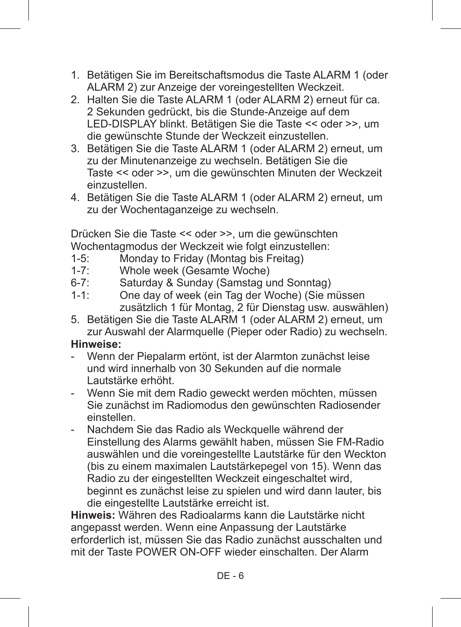- 1. Betätigen Sie im Bereitschaftsmodus die Taste ALARM 1 (oder ALARM 2) zur Anzeige der voreingestellten Weckzeit.
- 2. Halten Sie die Taste ALARM 1 (oder ALARM 2) erneut für ca. 2 Sekunden gedrückt, bis die Stunde-Anzeige auf dem LED-DISPLAY blinkt. Betätigen Sie die Taste << oder >>, um die gewünschte Stunde der Weckzeit einzustellen.
- 3. Betätigen Sie die Taste ALARM 1 (oder ALARM 2) erneut, um zu der Minutenanzeige zu wechseln. Betätigen Sie die Taste << oder >>, um die gewünschten Minuten der Weckzeit einzustellen.
- 4. Betätigen Sie die Taste ALARM 1 (oder ALARM 2) erneut, um zu der Wochentaganzeige zu wechseln.

Drücken Sie die Taste << oder >>, um die gewünschten Wochentagmodus der Weckzeit wie folgt einzustellen:<br>1-5: Monday to Friday (Montag bis Freitag)

- 1-5: Monday to Friday (Montag bis Freitag)<br>1-7: Whole week (Gesamte Woche)
- 1-7: Whole week (Gesamte Woche)<br>6-7: Saturday & Sunday (Samstag u
- 6-7: Saturday & Sunday (Samstag und Sonntag)<br>1-1: One day of week (ein Tag der Woche) (Sie n
- One day of week (ein Tag der Woche) (Sie müssen zusätzlich 1 für Montag, 2 für Dienstag usw. auswählen)
- 5. Betätigen Sie die Taste ALARM 1 (oder ALARM 2) erneut, um zur Auswahl der Alarmquelle (Pieper oder Radio) zu wechseln.

## **Hinweise:**

- Wenn der Piepalarm ertönt, ist der Alarmton zunächst leise und wird innerhalb von 30 Sekunden auf die normale Lautstärke erhöht.
- Wenn Sie mit dem Radio geweckt werden möchten, müssen Sie zunächst im Radiomodus den gewünschten Radiosender einstellen.
- Nachdem Sie das Radio als Weckquelle während der Einstellung des Alarms gewählt haben, müssen Sie FM-Radio auswählen und die voreingestellte Lautstärke für den Weckton (bis zu einem maximalen Lautstärkepegel von 15). Wenn das Radio zu der eingestellten Weckzeit eingeschaltet wird, beginnt es zunächst leise zu spielen und wird dann lauter, bis die eingestellte Lautstärke erreicht ist.

**Hinweis:** Währen des Radioalarms kann die Lautstärke nicht angepasst werden. Wenn eine Anpassung der Lautstärke erforderlich ist, müssen Sie das Radio zunächst ausschalten und mit der Taste POWER ON-OFF wieder einschalten. Der Alarm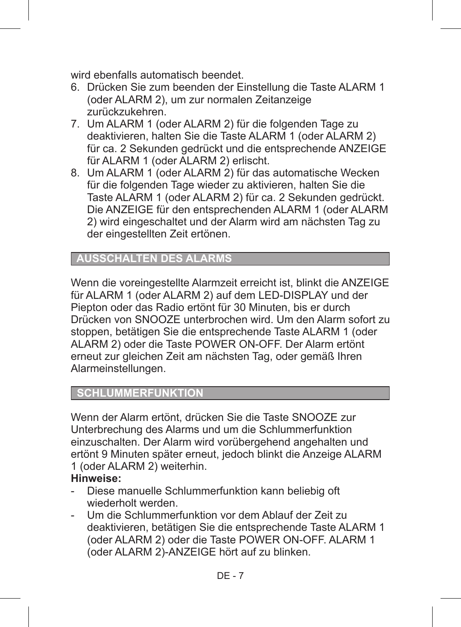wird ebenfalls automatisch beendet.

- 6. Drücken Sie zum beenden der Einstellung die Taste ALARM 1 (oder ALARM 2), um zur normalen Zeitanzeige zurückzukehren.
- 7. Um ALARM 1 (oder ALARM 2) für die folgenden Tage zu deaktivieren, halten Sie die Taste ALARM 1 (oder ALARM 2) für ca. 2 Sekunden gedrückt und die entsprechende ANZEIGE für ALARM 1 (oder ALARM 2) erlischt.
- 8. Um ALARM 1 (oder ALARM 2) für das automatische Wecken für die folgenden Tage wieder zu aktivieren, halten Sie die Taste ALARM 1 (oder ALARM 2) für ca. 2 Sekunden gedrückt. Die ANZEIGE für den entsprechenden ALARM 1 (oder ALARM 2) wird eingeschaltet und der Alarm wird am nächsten Tag zu der eingestellten Zeit ertönen.

## **AUSSCHALTEN DES ALARMS**

Wenn die voreingestellte Alarmzeit erreicht ist, blinkt die ANZEIGE für ALARM 1 (oder ALARM 2) auf dem LED-DISPLAY und der Piepton oder das Radio ertönt für 30 Minuten, bis er durch Drücken von SNOOZE unterbrochen wird. Um den Alarm sofort zu stoppen, betätigen Sie die entsprechende Taste ALARM 1 (oder ALARM 2) oder die Taste POWER ON-OFF. Der Alarm ertönt erneut zur gleichen Zeit am nächsten Tag, oder gemäß Ihren Alarmeinstellungen.

## **SCHLUMMERFUNKTION**

Wenn der Alarm ertönt, drücken Sie die Taste SNOOZE zur Unterbrechung des Alarms und um die Schlummerfunktion einzuschalten. Der Alarm wird vorübergehend angehalten und ertönt 9 Minuten später erneut, jedoch blinkt die Anzeige ALARM 1 (oder ALARM 2) weiterhin.

## **Hinweise:**

- Diese manuelle Schlummerfunktion kann beliebig oft wiederholt werden.
- Um die Schlummerfunktion vor dem Ablauf der Zeit zu deaktivieren, betätigen Sie die entsprechende Taste ALARM 1 (oder ALARM 2) oder die Taste POWER ON-OFF. ALARM 1 (oder ALARM 2)-ANZEIGE hört auf zu blinken.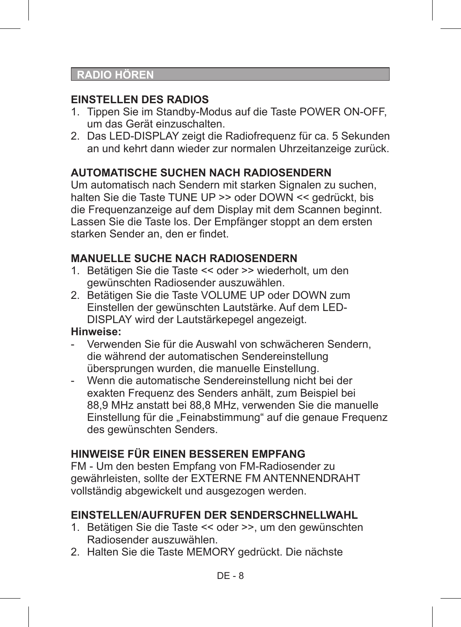## **RADIO HÖREN**

## **EINSTELLEN DES RADIOS**

- 1. Tippen Sie im Standby-Modus auf die Taste POWER ON-OFF, um das Gerät einzuschalten.
- 2. Das LED-DISPLAY zeigt die Radiofrequenz für ca. 5 Sekunden an und kehrt dann wieder zur normalen Uhrzeitanzeige zurück.

## **AUTOMATISCHE SUCHEN NACH RADIOSENDERN**

Um automatisch nach Sendern mit starken Signalen zu suchen, halten Sie die Taste TUNE UP >> oder DOWN << gedrückt, bis die Frequenzanzeige auf dem Display mit dem Scannen beginnt. Lassen Sie die Taste los. Der Empfänger stoppt an dem ersten starken Sender an, den er findet.

## **MANUELLE SUCHE NACH RADIOSENDERN**

- 1. Betätigen Sie die Taste << oder >> wiederholt, um den gewünschten Radiosender auszuwählen.
- 2. Betätigen Sie die Taste VOLUME UP oder DOWN zum Einstellen der gewünschten Lautstärke. Auf dem LED-DISPLAY wird der Lautstärkepegel angezeigt.

## **Hinweise:**

- Verwenden Sie für die Auswahl von schwächeren Sendern die während der automatischen Sendereinstellung übersprungen wurden, die manuelle Einstellung.
- Wenn die automatische Sendereinstellung nicht bei der exakten Frequenz des Senders anhält, zum Beispiel bei 88,9 MHz anstatt bei 88,8 MHz, verwenden Sie die manuelle Einstellung für die "Feinabstimmung" auf die genaue Frequenz des gewünschten Senders.

## **HINWEISE FÜR EINEN BESSEREN EMPFANG**

FM - Um den besten Empfang von FM-Radiosender zu gewährleisten, sollte der EXTERNE FM ANTENNENDRAHT vollständig abgewickelt und ausgezogen werden.

## **EINSTELLEN/AUFRUFEN DER SENDERSCHNELLWAHL**

- 1. Betätigen Sie die Taste << oder >>, um den gewünschten Radiosender auszuwählen.
- 2. Halten Sie die Taste MEMORY gedrückt. Die nächste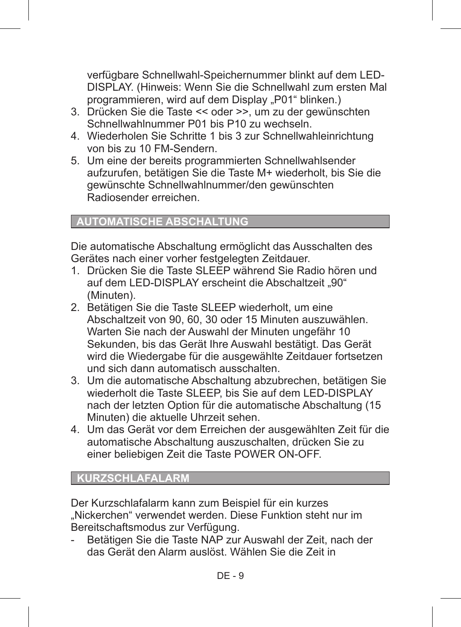verfügbare Schnellwahl-Speichernummer blinkt auf dem LED-DISPLAY. (Hinweis: Wenn Sie die Schnellwahl zum ersten Mal programmieren, wird auf dem Display "P01" blinken.)

- 3. Drücken Sie die Taste << oder >>, um zu der gewünschten Schnellwahlnummer P01 bis P10 zu wechseln.
- 4. Wiederholen Sie Schritte 1 bis 3 zur Schnellwahleinrichtung von bis zu 10 FM-Sendern.
- 5. Um eine der bereits programmierten Schnellwahlsender aufzurufen, betätigen Sie die Taste M+ wiederholt, bis Sie die gewünschte Schnellwahlnummer/den gewünschten Radiosender erreichen.

## **AUTOMATISCHE ABSCHALTUNG**

Die automatische Abschaltung ermöglicht das Ausschalten des Gerätes nach einer vorher festgelegten Zeitdauer.

- 1. Drücken Sie die Taste SLEEP während Sie Radio hören und auf dem LED-DISPLAY erscheint die Abschaltzeit "90" (Minuten).
- 2. Betätigen Sie die Taste SLEEP wiederholt, um eine Abschaltzeit von 90, 60, 30 oder 15 Minuten auszuwählen. Warten Sie nach der Auswahl der Minuten ungefähr 10 Sekunden, bis das Gerät Ihre Auswahl bestätigt. Das Gerät wird die Wiedergabe für die ausgewählte Zeitdauer fortsetzen und sich dann automatisch ausschalten.
- 3. Um die automatische Abschaltung abzubrechen, betätigen Sie wiederholt die Taste SLEEP, bis Sie auf dem LED-DISPLAY nach der letzten Option für die automatische Abschaltung (15 Minuten) die aktuelle Uhrzeit sehen.
- 4. Um das Gerät vor dem Erreichen der ausgewählten Zeit für die automatische Abschaltung auszuschalten, drücken Sie zu einer beliebigen Zeit die Taste POWER ON-OFF.

## **KURZSCHLAFALARM**

Der Kurzschlafalarm kann zum Beispiel für ein kurzes "Nickerchen" verwendet werden. Diese Funktion steht nur im Bereitschaftsmodus zur Verfügung.

Betätigen Sie die Taste NAP zur Auswahl der Zeit, nach der das Gerät den Alarm auslöst. Wählen Sie die Zeit in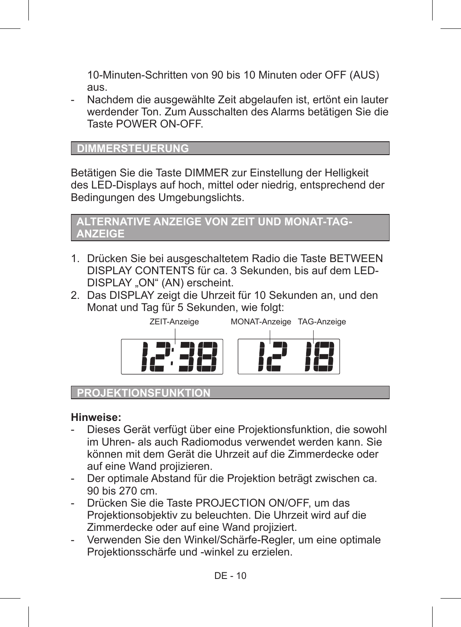10-Minuten-Schritten von 90 bis 10 Minuten oder OFF (AUS) aus.

Nachdem die ausgewählte Zeit abgelaufen ist, ertönt ein lauter werdender Ton. Zum Ausschalten des Alarms betätigen Sie die Taste POWER ON-OFF.

#### **DIMMERSTEUERUNG**

Betätigen Sie die Taste DIMMER zur Einstellung der Helligkeit des LED-Displays auf hoch, mittel oder niedrig, entsprechend der Bedingungen des Umgebungslichts.



- 1. Drücken Sie bei ausgeschaltetem Radio die Taste BETWEEN DISPLAY CONTENTS für ca. 3 Sekunden, bis auf dem LED-DISPLAY "ON" (AN) erscheint.
- 2. Das DISPLAY zeigt die Uhrzeit für 10 Sekunden an, und den Monat und Tag für 5 Sekunden, wie folgt:



## **PROJEKTIONSFUNKTIO**

#### **Hinweise:**

- Dieses Gerät verfügt über eine Projektionsfunktion, die sowohl im Uhren- als auch Radiomodus verwendet werden kann. Sie können mit dem Gerät die Uhrzeit auf die Zimmerdecke oder auf eine Wand projizieren.
- Der optimale Abstand für die Projektion beträgt zwischen ca. 90 bis 270 cm.
- Drücken Sie die Taste PROJECTION ON/OFF, um das Projektionsobjektiv zu beleuchten. Die Uhrzeit wird auf die Zimmerdecke oder auf eine Wand projiziert.
- Verwenden Sie den Winkel/Schärfe-Regler, um eine optimale Projektionsschärfe und -winkel zu erzielen.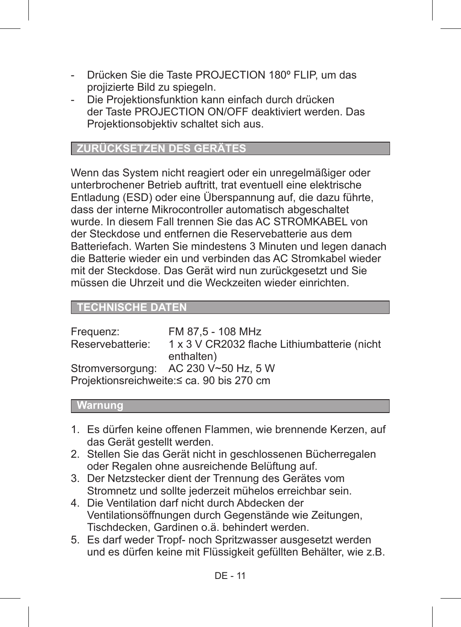- Drücken Sie die Taste PROJECTION 180º FLIP, um das projizierte Bild zu spiegeln.
- Die Projektionsfunktion kann einfach durch drücken der Taste PROJECTION ON/OFF deaktiviert werden. Das Projektionsobjektiv schaltet sich aus.

## **ZURÜCKSETZEN DES GERÄTES**

Wenn das System nicht reagiert oder ein unregelmäßiger oder unterbrochener Betrieb auftritt, trat eventuell eine elektrische Entladung (ESD) oder eine Überspannung auf, die dazu führte, dass der interne Mikrocontroller automatisch abgeschaltet wurde. In diesem Fall trennen Sie das AC STROMKABEL von der Steckdose und entfernen die Reservebatterie aus dem Batteriefach. Warten Sie mindestens 3 Minuten und legen danach die Batterie wieder ein und verbinden das AC Stromkabel wieder mit der Steckdose. Das Gerät wird nun zurückgesetzt und Sie müssen die Uhrzeit und die Weckzeiten wieder einrichten.

## **TECHNISCHE DATEN**

| Frequenz:        | FM 87.5 - 108 MHz                            |
|------------------|----------------------------------------------|
| Reservebatterie: | 1 x 3 V CR2032 flache Lithiumbatterie (nicht |
|                  | enthalten)                                   |
|                  | Stromversorgung: AC 230 V~50 Hz, 5 W         |
|                  | Projektionsreichweite:≤ ca. 90 bis 270 cm    |

#### **Warnung**

- 1. Es dürfen keine offenen Flammen, wie brennende Kerzen, auf das Gerät gestellt werden.
- 2. Stellen Sie das Gerät nicht in geschlossenen Bücherregalen oder Regalen ohne ausreichende Belüftung auf.
- 3. Der Netzstecker dient der Trennung des Gerätes vom Stromnetz und sollte jederzeit mühelos erreichbar sein.
- 4. Die Ventilation darf nicht durch Abdecken der Ventilationsöffnungen durch Gegenstände wie Zeitungen, Tischdecken, Gardinen o.ä. behindert werden.
- 5. Es darf weder Tropf- noch Spritzwasser ausgesetzt werden und es dürfen keine mit Flüssigkeit gefüllten Behälter, wie z.B.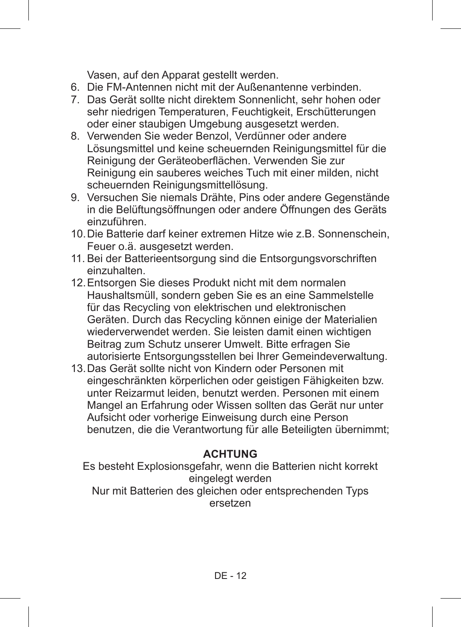Vasen, auf den Apparat gestellt werden.

- 6. Die FM-Antennen nicht mit der Außenantenne verbinden.
- 7. Das Gerät sollte nicht direktem Sonnenlicht, sehr hohen oder sehr niedrigen Temperaturen, Feuchtigkeit, Erschütterungen oder einer staubigen Umgebung ausgesetzt werden.
- 8. Verwenden Sie weder Benzol, Verdünner oder andere Lösungsmittel und keine scheuernden Reinigungsmittel für die Reinigung der Geräteoberflächen. Verwenden Sie zur Reinigung ein sauberes weiches Tuch mit einer milden, nicht scheuernden Reinigungsmittellösung.
- 9. Versuchen Sie niemals Drähte, Pins oder andere Gegenstände in die Belüftungsöffnungen oder andere Öffnungen des Geräts einzuführen.
- 10.Die Batterie darf keiner extremen Hitze wie z.B. Sonnenschein, Feuer o.ä. ausgesetzt werden.
- 11. Bei der Batterieentsorgung sind die Entsorgungsvorschriften einzuhalten.
- 12.Entsorgen Sie dieses Produkt nicht mit dem normalen Haushaltsmüll, sondern geben Sie es an eine Sammelstelle für das Recycling von elektrischen und elektronischen Geräten. Durch das Recycling können einige der Materialien wiederverwendet werden. Sie leisten damit einen wichtigen Beitrag zum Schutz unserer Umwelt. Bitte erfragen Sie autorisierte Entsorgungsstellen bei Ihrer Gemeindeverwaltung.
- 13.Das Gerät sollte nicht von Kindern oder Personen mit eingeschränkten körperlichen oder geistigen Fähigkeiten bzw. unter Reizarmut leiden, benutzt werden. Personen mit einem Mangel an Erfahrung oder Wissen sollten das Gerät nur unter Aufsicht oder vorherige Einweisung durch eine Person benutzen, die die Verantwortung für alle Beteiligten übernimmt;

## **ACHTUNG**

Es besteht Explosionsgefahr, wenn die Batterien nicht korrekt eingelegt werden Nur mit Batterien des gleichen oder entsprechenden Typs ersetzen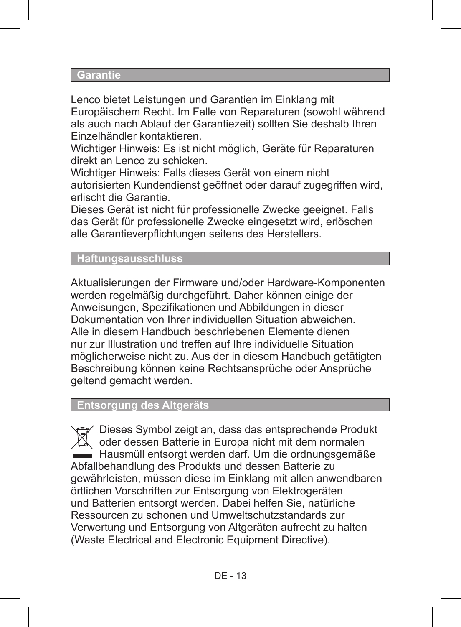#### **Garantie**

Lenco bietet Leistungen und Garantien im Einklang mit Europäischem Recht. Im Falle von Reparaturen (sowohl während als auch nach Ablauf der Garantiezeit) sollten Sie deshalb Ihren Einzelhändler kontaktieren.

Wichtiger Hinweis: Es ist nicht möglich, Geräte für Reparaturen direkt an Lenco zu schicken.

Wichtiger Hinweis: Falls dieses Gerät von einem nicht autorisierten Kundendienst geöffnet oder darauf zugegriffen wird, erlischt die Garantie.

Dieses Gerät ist nicht für professionelle Zwecke geeignet. Falls das Gerät für professionelle Zwecke eingesetzt wird, erlöschen alle Garantieverpflichtungen seitens des Herstellers.

## **Haftungsausschluss**

Aktualisierungen der Firmware und/oder Hardware-Komponenten werden regelmäßig durchgeführt. Daher können einige der Anweisungen, Spezifikationen und Abbildungen in dieser Dokumentation von Ihrer individuellen Situation abweichen. Alle in diesem Handbuch beschriebenen Elemente dienen nur zur Illustration und treffen auf Ihre individuelle Situation möglicherweise nicht zu. Aus der in diesem Handbuch getätigten Beschreibung können keine Rechtsansprüche oder Ansprüche geltend gemacht werden.

#### **Entsorgung des Altgeräts**

Dieses Symbol zeigt an, dass das entsprechende Produkt oder dessen Batterie in Europa nicht mit dem normalen Hausmüll entsorgt werden darf. Um die ordnungsgemäße Abfallbehandlung des Produkts und dessen Batterie zu gewährleisten, müssen diese im Einklang mit allen anwendbaren örtlichen Vorschriften zur Entsorgung von Elektrogeräten und Batterien entsorgt werden. Dabei helfen Sie, natürliche Ressourcen zu schonen und Umweltschutzstandards zur Verwertung und Entsorgung von Altgeräten aufrecht zu halten (Waste Electrical and Electronic Equipment Directive).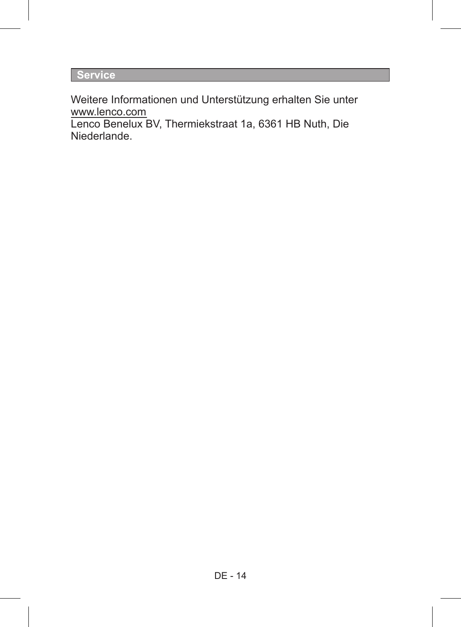**Service**

Weitere Informationen und Unterstützung erhalten Sie unter www.lenco.com

Lenco Benelux BV, Thermiekstraat 1a, 6361 HB Nuth, Die Niederlande.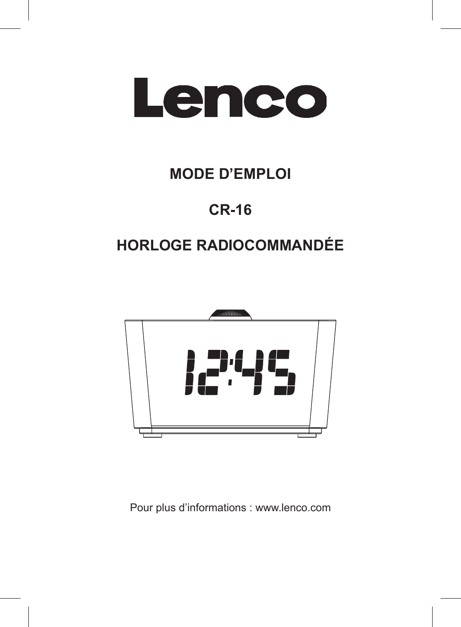

# **MODE D'EMPLOI**

# **CR-16**

# **HORLOGE RADIOCOMMANDÉE**



Pour plus d'informations : www.lenco.com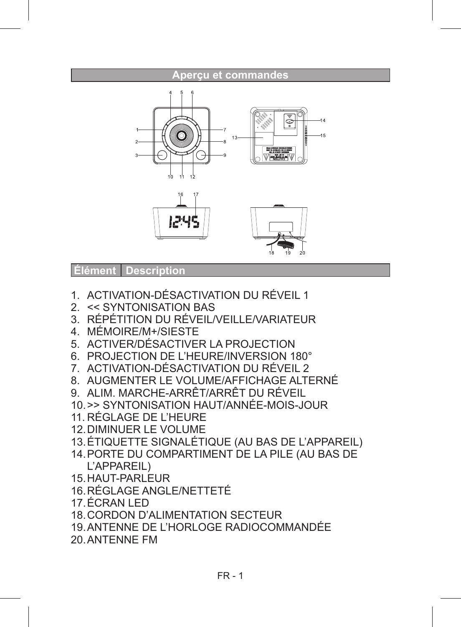# **Aperçu et commandes**

 **Élément Description**

- 1. ACTIVATION-DÉSACTIVATION DU RÉVEIL 1
- 2. << SYNTONISATION BAS
- 3. RÉPÉTITION DU RÉVEIL/VEILLE/VARIATEUR
- 4. MÉMOIRE/M+/SIESTE
- 5. ACTIVER/DÉSACTIVER LA PROJECTION
- 6. PROJECTION DE L'HEURE/INVERSION 180°
- 7. ACTIVATION-DÉSACTIVATION DU RÉVEIL 2
- 8. AUGMENTER LE VOLUME/AFFICHAGE ALTERNÉ
- 9. ALIM. MARCHE-ARRÊT/ARRÊT DU RÉVEIL
- 10.>> SYNTONISATION HAUT/ANNÉE-MOIS-JOUR
- 11. RÉGLAGE DE L'HEURE
- 12.DIMINUER LE VOLUME
- 13.ÉTIQUETTE SIGNALÉTIQUE (AU BAS DE L'APPAREIL)
- 14.PORTE DU COMPARTIMENT DE LA PILE (AU BAS DE L'APPAREIL)
- 15.HAUT-PARLEUR
- 16.RÉGLAGE ANGLE/NETTETÉ
- 17.ÉCRAN LED
- 18.CORDON D'ALIMENTATION SECTEUR
- 19.ANTENNE DE L'HORLOGE RADIOCOMMANDÉE
- 20.ANTENNE FM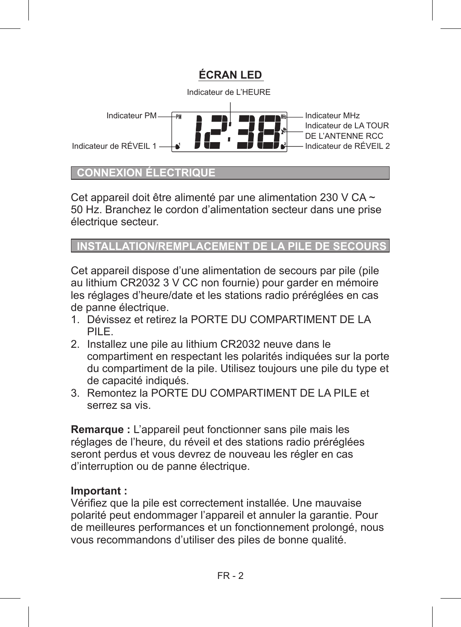

## **CONNEXION ÉLECTRIQU**

Cet appareil doit être alimenté par une alimentation 230 V CA  $\sim$ 50 Hz. Branchez le cordon d'alimentation secteur dans une prise électrique secteur.

## **INSTALLATION/REMPLACEMENT**

Cet appareil dispose d'une alimentation de secours par pile (pile au lithium CR2032 3 V CC non fournie) pour garder en mémoire les réglages d'heure/date et les stations radio préréglées en cas de panne électrique.

- 1. Dévissez et retirez la PORTE DU COMPARTIMENT DE LA PILE.
- 2. Installez une pile au lithium CR2032 neuve dans le compartiment en respectant les polarités indiquées sur la porte du compartiment de la pile. Utilisez toujours une pile du type et de capacité indiqués.
- 3. Remontez la PORTE DU COMPARTIMENT DE LA PILE et serrez sa vis.

**Remarque :** L'appareil peut fonctionner sans pile mais les réglages de l'heure, du réveil et des stations radio préréglées seront perdus et vous devrez de nouveau les régler en cas d'interruption ou de panne électrique.

## **Important :**

Vérifiez que la pile est correctement installée. Une mauvaise polarité peut endommager l'appareil et annuler la garantie. Pour de meilleures performances et un fonctionnement prolongé, nous vous recommandons d'utiliser des piles de bonne qualité.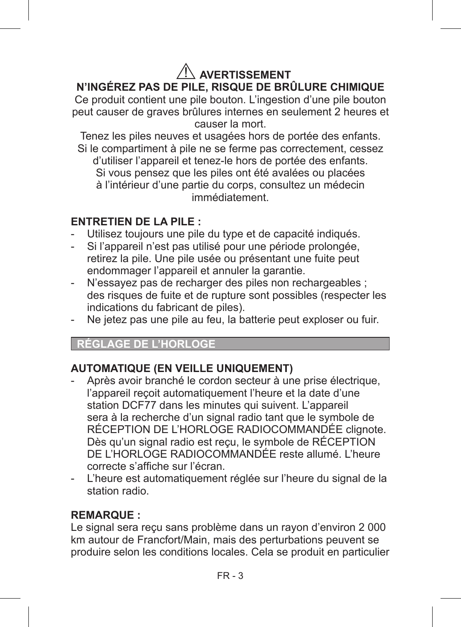## **AVERTISSEMENT N'INGÉREZ PAS DE PILE, RISQUE DE BRÛLURE CHIMIQUE**

Ce produit contient une pile bouton. L'ingestion d'une pile bouton peut causer de graves brûlures internes en seulement 2 heures et causer la mort.

Tenez les piles neuves et usagées hors de portée des enfants. Si le compartiment à pile ne se ferme pas correctement, cessez d'utiliser l'appareil et tenez-le hors de portée des enfants. Si vous pensez que les piles ont été avalées ou placées à l'intérieur d'une partie du corps, consultez un médecin immédiatement.

## **ENTRETIEN DE LA PILE :**

- Utilisez toujours une pile du type et de capacité indiqués.
- Si l'appareil n'est pas utilisé pour une période prolongée, retirez la pile. Une pile usée ou présentant une fuite peut endommager l'appareil et annuler la garantie.
- N'essayez pas de recharger des piles non rechargeables : des risques de fuite et de rupture sont possibles (respecter les indications du fabricant de piles).
- Ne jetez pas une pile au feu, la batterie peut exploser ou fuir.

## **RÉGLAGE DE L'HORLOGE**

## **AUTOMATIQUE (EN VEILLE UNIQUEMENT)**

- Après avoir branché le cordon secteur à une prise électrique. l'appareil reçoit automatiquement l'heure et la date d'une station DCF77 dans les minutes qui suivent. L'appareil sera à la recherche d'un signal radio tant que le symbole de RÉCEPTION DE L'HORLOGE RADIOCOMMANDÉE clignote. Dès qu'un signal radio est reçu, le symbole de RÉCEPTION DE L'HORLOGE RADIOCOMMANDÉE reste allumé. L'heure correcte s'affiche sur l'écran.
- L'heure est automatiquement réglée sur l'heure du signal de la station radio.

## **REMARQUE :**

Le signal sera reçu sans problème dans un rayon d'environ 2 000 km autour de Francfort/Main, mais des perturbations peuvent se produire selon les conditions locales. Cela se produit en particulier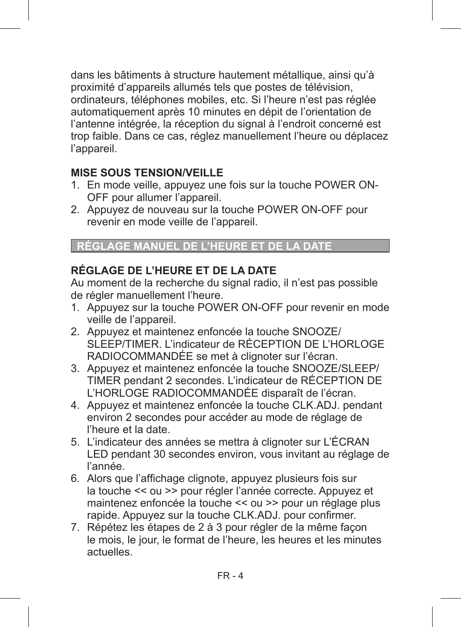dans les bâtiments à structure hautement métallique, ainsi qu'à proximité d'appareils allumés tels que postes de télévision, ordinateurs, téléphones mobiles, etc. Si l'heure n'est pas réglée automatiquement après 10 minutes en dépit de l'orientation de l'antenne intégrée, la réception du signal à l'endroit concerné est trop faible. Dans ce cas, réglez manuellement l'heure ou déplacez l'appareil

## **MISE SOUS TENSION/VEILLE**

- 1. En mode veille, appuyez une fois sur la touche POWER ON-OFF pour allumer l'appareil.
- 2. Appuyez de nouveau sur la touche POWER ON-OFF pour revenir en mode veille de l'appareil.

## **RÉGLAGE MANUEL DE L'HEURE ET DE LA DATE**

## **RÉGLAGE DE L'HEURE ET DE LA DATE**

Au moment de la recherche du signal radio, il n'est pas possible de régler manuellement l'heure.

- 1. Appuyez sur la touche POWER ON-OFF pour revenir en mode veille de l'appareil.
- 2. Appuyez et maintenez enfoncée la touche SNOOZE/ SLEEP/TIMER. L'indicateur de RÉCEPTION DE L'HORLOGE RADIOCOMMANDÉE se met à clignoter sur l'écran.
- 3. Appuyez et maintenez enfoncée la touche SNOOZE/SLEEP/ TIMER pendant 2 secondes. L'indicateur de RÉCEPTION DE L'HORLOGE RADIOCOMMANDÉE disparaît de l'écran.
- 4. Appuyez et maintenez enfoncée la touche CLK.ADJ. pendant environ 2 secondes pour accéder au mode de réglage de l'heure et la date.
- 5. L'indicateur des années se mettra à clignoter sur L'ÉCRAN LED pendant 30 secondes environ, vous invitant au réglage de l'année.
- 6. Alors que l'affichage clignote, appuyez plusieurs fois sur la touche << ou >> pour régler l'année correcte. Appuyez et maintenez enfoncée la touche << ou >> pour un réglage plus rapide. Appuyez sur la touche CLK.ADJ. pour confirmer.
- 7. Répétez les étapes de 2 à 3 pour régler de la même façon le mois, le jour, le format de l'heure, les heures et les minutes actuelles.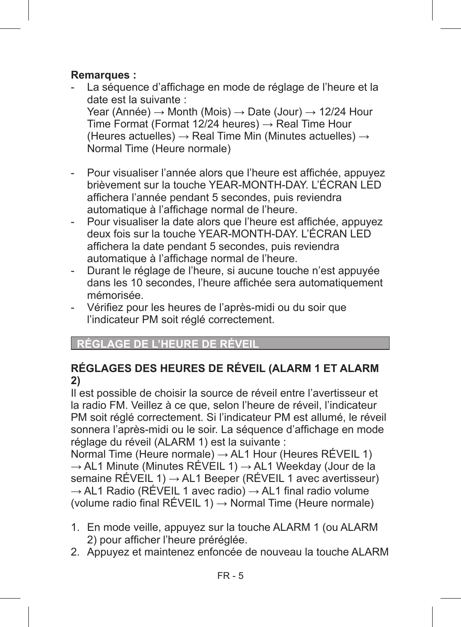## **Remarques :**

- La séquence d'affichage en mode de réglage de l'heure et la date est la suivante : Year (Année)  $\rightarrow$  Month (Mois)  $\rightarrow$  Date (Jour)  $\rightarrow$  12/24 Hour Time Format (Format 12/24 heures)  $\rightarrow$  Real Time Hour (Heures actuelles)  $\rightarrow$  Real Time Min (Minutes actuelles)  $\rightarrow$ Normal Time (Heure normale)
- Pour visualiser l'année alors que l'heure est affichée, appuyez brièvement sur la touche YEAR-MONTH-DAY. L'ÉCRAN LED affichera l'année pendant 5 secondes, puis reviendra automatique à l'affichage normal de l'heure.
- Pour visualiser la date alors que l'heure est affichée, appuyez deux fois sur la touche YEAR-MONTH-DAY. L'ÉCRAN LED affichera la date pendant 5 secondes, puis reviendra automatique à l'affichage normal de l'heure.
- Durant le réglage de l'heure, si aucune touche n'est appuyée dans les 10 secondes, l'heure affichée sera automatiquement mémorisée.
- Vérifiez pour les heures de l'après-midi ou du soir que l'indicateur PM soit réglé correctement.

## **RÉGLAGE DE L'HEURE DE**

## **RÉGLAGES DES HEURES DE RÉVEIL (ALARM 1 ET ALARM 2)**

Il est possible de choisir la source de réveil entre l'avertisseur et la radio FM. Veillez à ce que, selon l'heure de réveil, l'indicateur PM soit réglé correctement. Si l'indicateur PM est allumé, le réveil sonnera l'après-midi ou le soir. La séquence d'affichage en mode réglage du réveil (ALARM 1) est la suivante :

Normal Time (Heure normale) → AL1 Hour (Heures RÉVEIL 1) → AL1 Minute (Minutes RÉVEIL 1) → AL1 Weekday (Jour de la semaine RÉVEIL 1) → AL1 Beeper (RÉVEIL 1 avec avertisseur)  $\rightarrow$  AL1 Radio (RÉVEIL 1 avec radio)  $\rightarrow$  AL1 final radio volume (volume radio final RÉVEIL 1)  $\rightarrow$  Normal Time (Heure normale)

- 1. En mode veille, appuyez sur la touche ALARM 1 (ou ALARM 2) pour afficher l'heure préréglée.
- 2. Appuyez et maintenez enfoncée de nouveau la touche ALARM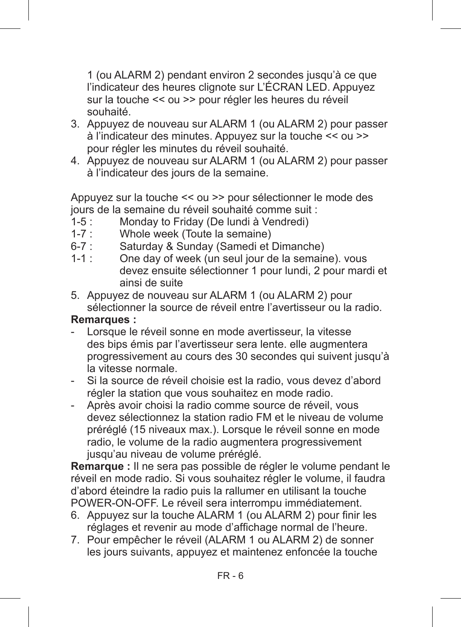1 (ou ALARM 2) pendant environ 2 secondes jusqu'à ce que l'indicateur des heures clignote sur L'ÉCRAN LED. Appuyez sur la touche << ou >> pour régler les heures du réveil souhaité.

- 3. Appuyez de nouveau sur ALARM 1 (ou ALARM 2) pour passer à l'indicateur des minutes. Appuyez sur la touche << ou >> pour régler les minutes du réveil souhaité.
- 4. Appuyez de nouveau sur ALARM 1 (ou ALARM 2) pour passer à l'indicateur des jours de la semaine.

Appuyez sur la touche << ou >> pour sélectionner le mode des jours de la semaine du réveil souhaité comme suit :<br>1-5 : Mondav to Friday (De lundi à Vendredi)

- 1-5 : Monday to Friday (De lundi à Vendredi)<br>1-7 : Whole week (Toute la semaine)
- 1-7 : Whole week (Toute la semaine)<br>6-7 : Saturday & Sunday (Samedi et l
- 6-7 : Saturday & Sunday (Samedi et Dimanche)<br>1-1 : One day of week (un seul jour de la semair
- One day of week (un seul jour de la semaine). vous devez ensuite sélectionner 1 pour lundi, 2 pour mardi et ainsi de suite
- 5. Appuyez de nouveau sur ALARM 1 (ou ALARM 2) pour sélectionner la source de réveil entre l'avertisseur ou la radio.

## **Remarques :**

- Lorsque le réveil sonne en mode avertisseur, la vitesse des bips émis par l'avertisseur sera lente. elle augmentera progressivement au cours des 30 secondes qui suivent jusqu'à la vitesse normale.
- Si la source de réveil choisie est la radio, vous devez d'abord régler la station que vous souhaitez en mode radio.
- Après avoir choisi la radio comme source de réveil, vous devez sélectionnez la station radio FM et le niveau de volume préréglé (15 niveaux max.). Lorsque le réveil sonne en mode radio, le volume de la radio augmentera progressivement jusqu'au niveau de volume préréglé.

**Remarque :** Il ne sera pas possible de régler le volume pendant le réveil en mode radio. Si vous souhaitez régler le volume, il faudra d'abord éteindre la radio puis la rallumer en utilisant la touche POWER-ON-OFF. Le réveil sera interrompu immédiatement.

- 6. Appuyez sur la touche ALARM 1 (ou ALARM 2) pour finir les réglages et revenir au mode d'affichage normal de l'heure.
- 7. Pour empêcher le réveil (ALARM 1 ou ALARM 2) de sonner les jours suivants, appuyez et maintenez enfoncée la touche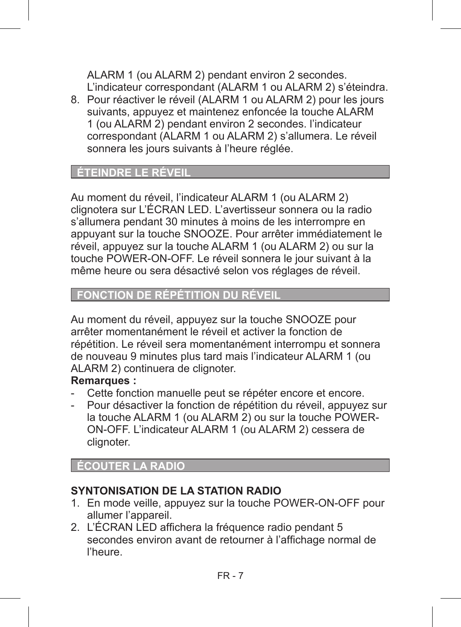ALARM 1 (ou ALARM 2) pendant environ 2 secondes. L'indicateur correspondant (ALARM 1 ou ALARM 2) s'éteindra.

8. Pour réactiver le réveil (ALARM 1 ou ALARM 2) pour les jours suivants, appuyez et maintenez enfoncée la touche ALARM 1 (ou ALARM 2) pendant environ 2 secondes. l'indicateur correspondant (ALARM 1 ou ALARM 2) s'allumera. Le réveil sonnera les jours suivants à l'heure réglée.

## ÉTEINDRE LE

Au moment du réveil, l'indicateur ALARM 1 (ou ALARM 2) clignotera sur L'ÉCRAN LED. L'avertisseur sonnera ou la radio s'allumera pendant 30 minutes à moins de les interrompre en appuyant sur la touche SNOOZE. Pour arrêter immédiatement le réveil, appuyez sur la touche ALARM 1 (ou ALARM 2) ou sur la touche POWER-ON-OFF. Le réveil sonnera le jour suivant à la même heure ou sera désactivé selon vos réglages de réveil.

## **FONCTION DE RÉPÉTITION DU**

Au moment du réveil, appuyez sur la touche SNOOZE pour arrêter momentanément le réveil et activer la fonction de répétition. Le réveil sera momentanément interrompu et sonnera de nouveau 9 minutes plus tard mais l'indicateur ALARM 1 (ou ALARM 2) continuera de clignoter.

## **Remarques :**

- Cette fonction manuelle peut se répéter encore et encore.
- Pour désactiver la fonction de répétition du réveil, appuyez sur la touche ALARM 1 (ou ALARM 2) ou sur la touche POWER-ON-OFF. L'indicateur ALARM 1 (ou ALARM 2) cessera de clignoter.

## **ÉCOUTER LA RADIO**

## **SYNTONISATION DE LA STATION RADIO**

- 1. En mode veille, appuyez sur la touche POWER-ON-OFF pour allumer l'appareil.
- 2. L'ÉCRAN LED affichera la fréquence radio pendant 5 secondes environ avant de retourner à l'affichage normal de l'heure.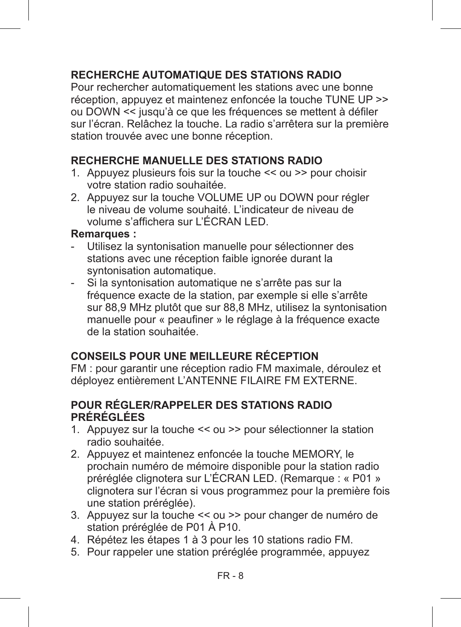## **RECHERCHE AUTOMATIQUE DES STATIONS RADIO**

Pour rechercher automatiquement les stations avec une bonne réception, appuyez et maintenez enfoncée la touche TUNE UP >> ou DOWN << jusqu'à ce que les fréquences se mettent à défiler sur l'écran. Relâchez la touche. La radio s'arrêtera sur la première station trouvée avec une bonne réception.

## **RECHERCHE MANUELLE DES STATIONS RADIO**

- 1. Appuyez plusieurs fois sur la touche << ou >> pour choisir votre station radio souhaitée.
- 2. Appuyez sur la touche VOLUME UP ou DOWN pour régler le niveau de volume souhaité. L'indicateur de niveau de volume s'affichera sur L'ÉCRAN LED.

#### **Remarques :**

- Utilisez la syntonisation manuelle pour sélectionner des stations avec une réception faible ignorée durant la syntonisation automatique.
- Si la syntonisation automatique ne s'arrête pas sur la fréquence exacte de la station, par exemple si elle s'arrête sur 88,9 MHz plutôt que sur 88,8 MHz, utilisez la syntonisation manuelle pour « peaufiner » le réglage à la fréquence exacte de la station souhaitée.

## **CONSEILS POUR UNE MEILLEURE RÉCEPTION**

FM : pour garantir une réception radio FM maximale, déroulez et déployez entièrement L'ANTENNE FILAIRE FM EXTERNE.

## **POUR RÉGLER/RAPPELER DES STATIONS RADIO PRÉRÉGLÉES**

- 1. Appuyez sur la touche << ou >> pour sélectionner la station radio souhaitée.
- 2. Appuyez et maintenez enfoncée la touche MEMORY, le prochain numéro de mémoire disponible pour la station radio préréglée clignotera sur L'ÉCRAN LED. (Remarque : « P01 » clignotera sur l'écran si vous programmez pour la première fois une station préréglée).
- 3. Appuyez sur la touche << ou >> pour changer de numéro de station préréglée de P01 À P10.
- 4. Répétez les étapes 1 à 3 pour les 10 stations radio FM.
- 5. Pour rappeler une station préréglée programmée, appuyez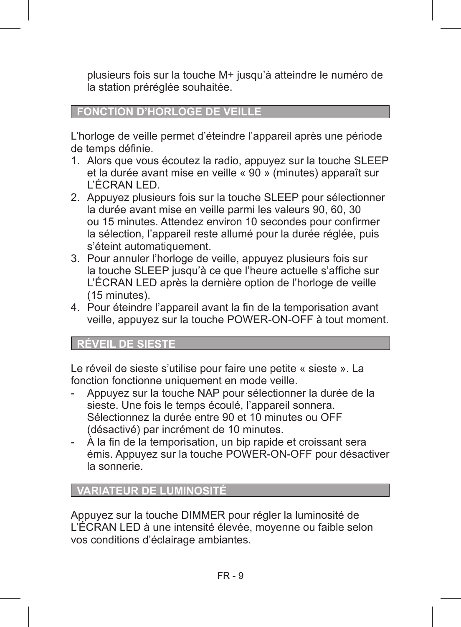plusieurs fois sur la touche M+ jusqu'à atteindre le numéro de la station préréglée souhaitée.

## **FONCTION D'HORLOGE DE VEILLE**

L'horloge de veille permet d'éteindre l'appareil après une période de temps définie.

- 1. Alors que vous écoutez la radio, appuyez sur la touche SLEEP et la durée avant mise en veille « 90 » (minutes) apparaît sur L'ÉCRAN LED.
- 2. Appuyez plusieurs fois sur la touche SLEEP pour sélectionner la durée avant mise en veille parmi les valeurs 90, 60, 30 ou 15 minutes. Attendez environ 10 secondes pour confirmer la sélection, l'appareil reste allumé pour la durée réglée, puis s'éteint automatiquement.
- 3. Pour annuler l'horloge de veille, appuyez plusieurs fois sur la touche SLEEP jusqu'à ce que l'heure actuelle s'affiche sur L'ÉCRAN LED après la dernière option de l'horloge de veille (15 minutes).
- 4. Pour éteindre l'appareil avant la fin de la temporisation avant veille, appuyez sur la touche POWER-ON-OFF à tout moment.

## **RÉVEIL DE SIESTE**

Le réveil de sieste s'utilise pour faire une petite « sieste ». La fonction fonctionne uniquement en mode veille.

- Appuyez sur la touche NAP pour sélectionner la durée de la sieste. Une fois le temps écoulé, l'appareil sonnera. Sélectionnez la durée entre 90 et 10 minutes ou OFF (désactivé) par incrément de 10 minutes.
- À la fin de la temporisation, un bip rapide et croissant sera émis. Appuyez sur la touche POWER-ON-OFF pour désactiver la sonnerie.

## **VARIATEUR DE LUMINOSITÉ**

Appuyez sur la touche DIMMER pour régler la luminosité de L'ÉCRAN LED à une intensité élevée, moyenne ou faible selon vos conditions d'éclairage ambiantes.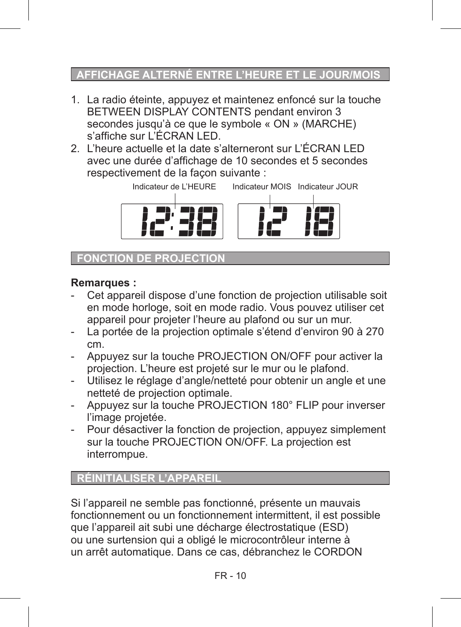## **AFFICHAGE ALTERNÉ ENTRE L'HEURE ET LE JO**

- 1. La radio éteinte, appuyez et maintenez enfoncé sur la touche BETWEEN DISPLAY CONTENTS pendant environ 3 secondes jusqu'à ce que le symbole « ON » (MARCHE) s'affiche sur L'ÉCRAN LED.
- 2. L'heure actuelle et la date s'alterneront sur L'ÉCRAN LED avec une durée d'affichage de 10 secondes et 5 secondes respectivement de la façon suivante :



**FONCTION DE PROJECTIO** 

## **Remarques :**

- Cet appareil dispose d'une fonction de projection utilisable soit en mode horloge, soit en mode radio. Vous pouvez utiliser cet appareil pour projeter l'heure au plafond ou sur un mur.
- La portée de la projection optimale s'étend d'environ 90 à 270 cm.
- Appuyez sur la touche PROJECTION ON/OFF pour activer la projection. L'heure est projeté sur le mur ou le plafond.
- Utilisez le réglage d'angle/netteté pour obtenir un angle et une netteté de projection optimale.
- Appuyez sur la touche PROJECTION 180° FLIP pour inverser l'image projetée.
- Pour désactiver la fonction de projection, appuyez simplement sur la touche PROJECTION ON/OFF. La projection est interrompue.

## **RÉINITIALISER L'APPAREIL**

Si l'appareil ne semble pas fonctionné, présente un mauvais fonctionnement ou un fonctionnement intermittent, il est possible que l'appareil ait subi une décharge électrostatique (ESD) ou une surtension qui a obligé le microcontrôleur interne à un arrêt automatique. Dans ce cas, débranchez le CORDON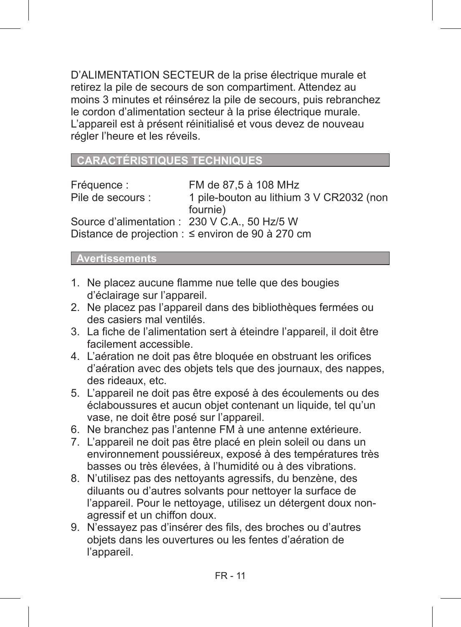D'ALIMENTATION SECTEUR de la prise électrique murale et retirez la pile de secours de son compartiment. Attendez au moins 3 minutes et réinsérez la pile de secours, puis rebranchez le cordon d'alimentation secteur à la prise électrique murale. L'appareil est à présent réinitialisé et vous devez de nouveau régler l'heure et les réveils.

**RACTERISTIQUES TECHNIQUE** 

Fréquence : FM de 87,5 à 108 MHz 1 pile-bouton au lithium 3 V CR2032 (non fournie) Source d'alimentation : 230 V C.A., 50 Hz/5 W Distance de projection :  $\leq$  environ de 90 à 270 cm

 **Avertissements**

- 1. Ne placez aucune flamme nue telle que des bougies d'éclairage sur l'appareil.
- 2. Ne placez pas l'appareil dans des bibliothèques fermées ou des casiers mal ventilés.
- 3. La fiche de l'alimentation sert à éteindre l'appareil, il doit être facilement accessible.
- 4. L'aération ne doit pas être bloquée en obstruant les orifices d'aération avec des objets tels que des journaux, des nappes, des rideaux, etc.
- 5. L'appareil ne doit pas être exposé à des écoulements ou des éclaboussures et aucun objet contenant un liquide, tel qu'un vase, ne doit être posé sur l'appareil.
- 6. Ne branchez pas l'antenne FM à une antenne extérieure.
- 7. L'appareil ne doit pas être placé en plein soleil ou dans un environnement poussiéreux, exposé à des températures très basses ou très élevées, à l'humidité ou à des vibrations.
- 8. N'utilisez pas des nettoyants agressifs, du benzène, des diluants ou d'autres solvants pour nettoyer la surface de l'appareil. Pour le nettoyage, utilisez un détergent doux nonagressif et un chiffon doux.
- 9. N'essayez pas d'insérer des fils, des broches ou d'autres objets dans les ouvertures ou les fentes d'aération de l'appareil.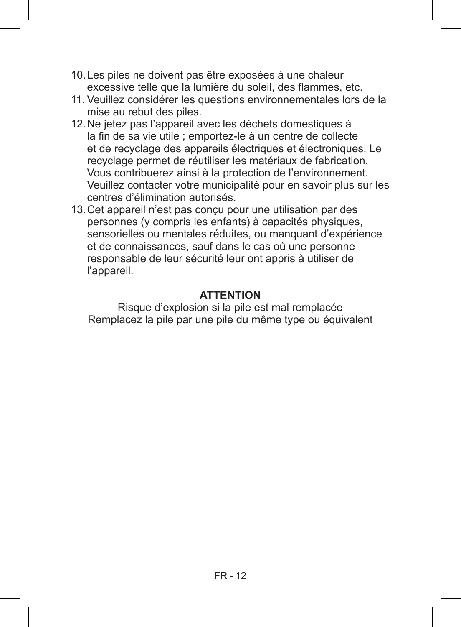- 10.Les piles ne doivent pas être exposées à une chaleur excessive telle que la lumière du soleil, des flammes, etc.
- 11. Veuillez considérer les questions environnementales lors de la mise au rebut des piles.
- 12.Ne jetez pas l'appareil avec les déchets domestiques à la fin de sa vie utile ; emportez-le à un centre de collecte et de recyclage des appareils électriques et électroniques. Le recyclage permet de réutiliser les matériaux de fabrication. Vous contribuerez ainsi à la protection de l'environnement. Veuillez contacter votre municipalité pour en savoir plus sur les centres d'élimination autorisés.
- 13.Cet appareil n'est pas conçu pour une utilisation par des personnes (y compris les enfants) à capacités physiques, sensorielles ou mentales réduites, ou manquant d'expérience et de connaissances, sauf dans le cas où une personne responsable de leur sécurité leur ont appris à utiliser de l'appareil.

## **ATTENTION**

Risque d'explosion si la pile est mal remplacée Remplacez la pile par une pile du même type ou équivalent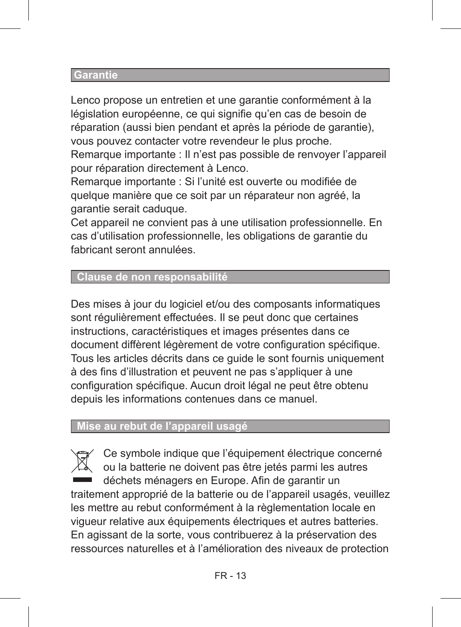#### **Garantie**

Lenco propose un entretien et une garantie conformément à la législation européenne, ce qui signifie qu'en cas de besoin de réparation (aussi bien pendant et après la période de garantie), vous pouvez contacter votre revendeur le plus proche.

Remarque importante : Il n'est pas possible de renvoyer l'appareil pour réparation directement à Lenco.

Remarque importante : Si l'unité est ouverte ou modifiée de quelque manière que ce soit par un réparateur non agréé, la garantie serait caduque.

Cet appareil ne convient pas à une utilisation professionnelle. En cas d'utilisation professionnelle, les obligations de garantie du fabricant seront annulées.

## **Clause de non responsabilité**

Des mises à jour du logiciel et/ou des composants informatiques sont régulièrement effectuées. Il se peut donc que certaines instructions, caractéristiques et images présentes dans ce document diffèrent légèrement de votre configuration spécifique. Tous les articles décrits dans ce guide le sont fournis uniquement à des fins d'illustration et peuvent ne pas s'appliquer à une configuration spécifique. Aucun droit légal ne peut être obtenu depuis les informations contenues dans ce manuel.

## **Mise au rebut de l'appareil usagé**

Ce symbole indique que l'équipement électrique concerné ou la batterie ne doivent pas être jetés parmi les autres déchets ménagers en Europe. Afin de garantir un traitement approprié de la batterie ou de l'appareil usagés, veuillez les mettre au rebut conformément à la règlementation locale en vigueur relative aux équipements électriques et autres batteries. En agissant de la sorte, vous contribuerez à la préservation des ressources naturelles et à l'amélioration des niveaux de protection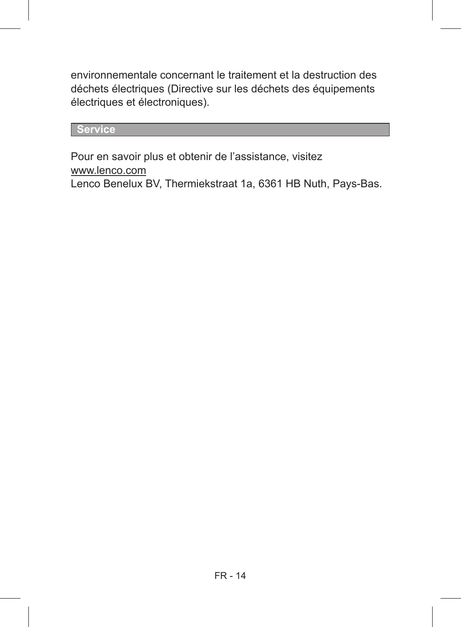environnementale concernant le traitement et la destruction des déchets électriques (Directive sur les déchets des équipements électriques et électroniques).

## **Service**

Pour en savoir plus et obtenir de l'assistance, visitez www.lenco.com Lenco Benelux BV, Thermiekstraat 1a, 6361 HB Nuth, Pays-Bas.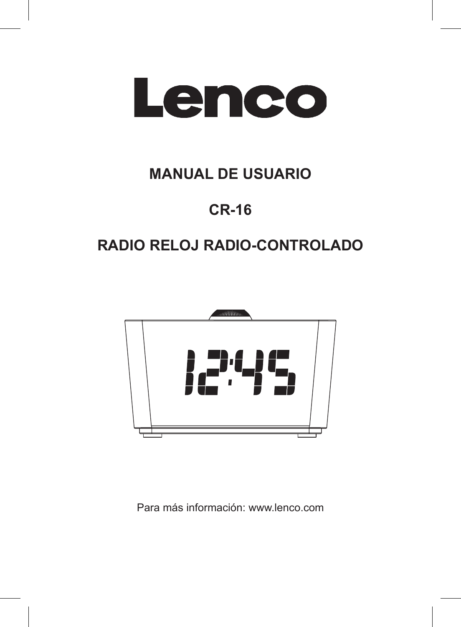

# **MANUAL DE USUARIO**

# **CR-16**

# **RADIO RELOJ RADIO-CONTROLADO**



Para más información: www.lenco.com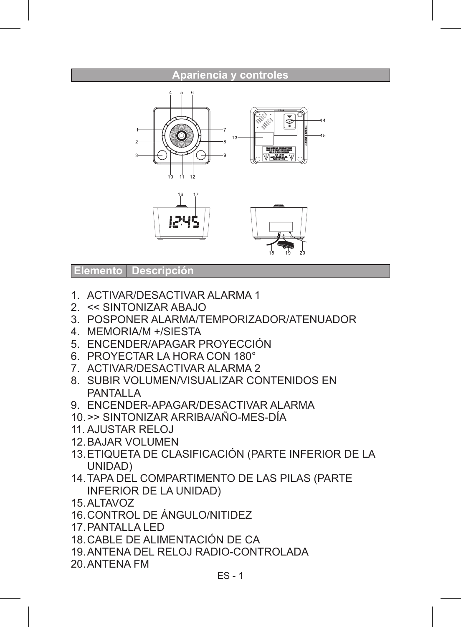#### **Apariencia y controles**





#### **Elemento Descripción**

- 1. ACTIVAR/DESACTIVAR ALARMA 1
- 2. << SINTONIZAR ABAJO
- 3. POSPONER ALARMA/TEMPORIZADOR/ATENUADOR
- 4. MEMORIA/M +/SIESTA
- 5. ENCENDER/APAGAR PROYECCIÓN
- 6. PROYECTAR LA HORA CON 180°
- 7. ACTIVAR/DESACTIVAR ALARMA 2
- 8. SUBIR VOLUMEN/VISUALIZAR CONTENIDOS EN PANTALLA
- 9. ENCENDER-APAGAR/DESACTIVAR ALARMA
- 10.>> SINTONIZAR ARRIBA/AÑO-MES-DÍA
- 11. AJUSTAR RELOJ
- 12.BAJAR VOLUMEN
- 13.ETIQUETA DE CLASIFICACIÓN (PARTE INFERIOR DE LA UNIDAD)
- 14.TAPA DEL COMPARTIMENTO DE LAS PILAS (PARTE INFERIOR DE LA UNIDAD)
- 15.ALTAVOZ
- 16.CONTROL DE ÁNGULO/NITIDEZ
- 17.PANTALLA LED
- 18.CABLE DE ALIMENTACIÓN DE CA
- 19.ANTENA DEL RELOJ RADIO-CONTROLADA
- 20.ANTENA FM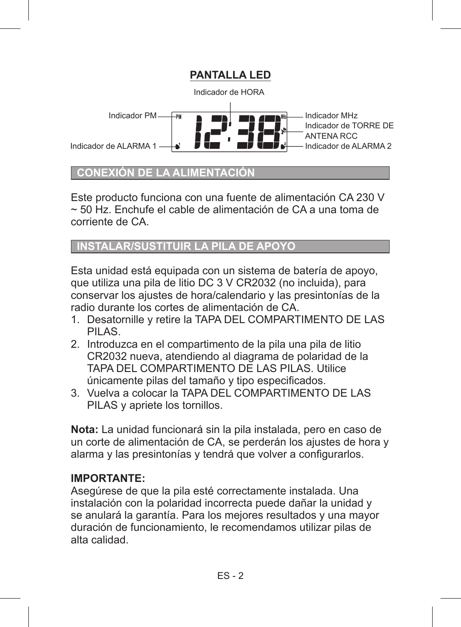

## **CONEXION DE LA**

Este producto funciona con una fuente de alimentación CA 230 V ~ 50 Hz. Enchufe el cable de alimentación de CA a una toma de corriente de CA.

## **INSTALAR/SUSTITUIR LA PILA DE APOYO**

Esta unidad está equipada con un sistema de batería de apoyo, que utiliza una pila de litio DC 3 V CR2032 (no incluida), para conservar los ajustes de hora/calendario y las presintonías de la radio durante los cortes de alimentación de CA.

- 1. Desatornille y retire la TAPA DEL COMPARTIMENTO DE LAS PILAS.
- 2. Introduzca en el compartimento de la pila una pila de litio CR2032 nueva, atendiendo al diagrama de polaridad de la TAPA DEL COMPARTIMENTO DE LAS PILAS. Utilice únicamente pilas del tamaño y tipo especificados.
- 3. Vuelva a colocar la TAPA DEL COMPARTIMENTO DE LAS PILAS y apriete los tornillos.

**Nota:** La unidad funcionará sin la pila instalada, pero en caso de un corte de alimentación de CA, se perderán los ajustes de hora y alarma y las presintonías y tendrá que volver a configurarlos.

## **IMPORTANTE:**

Asegúrese de que la pila esté correctamente instalada. Una instalación con la polaridad incorrecta puede dañar la unidad y se anulará la garantía. Para los mejores resultados y una mayor duración de funcionamiento, le recomendamos utilizar pilas de alta calidad.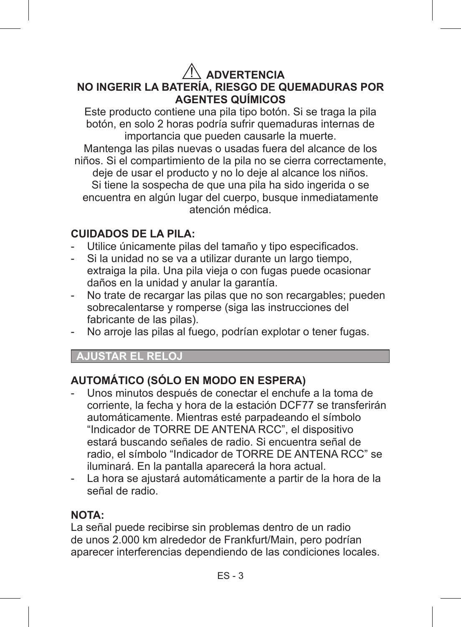## **ADVERTENCIA NO INGERIR LA BATERÍA, RIESGO DE QUEMADURAS POR AGENTES QUÍMICOS**

Este producto contiene una pila tipo botón. Si se traga la pila botón, en solo 2 horas podría sufrir quemaduras internas de importancia que pueden causarle la muerte.

Mantenga las pilas nuevas o usadas fuera del alcance de los niños. Si el compartimiento de la pila no se cierra correctamente, deje de usar el producto y no lo deje al alcance los niños. Si tiene la sospecha de que una pila ha sido ingerida o se encuentra en algún lugar del cuerpo, busque inmediatamente atención médica.

## **CUIDADOS DE LA PILA:**

- Utilice únicamente pilas del tamaño y tipo especificados.
- Si la unidad no se va a utilizar durante un largo tiempo, extraiga la pila. Una pila vieja o con fugas puede ocasionar daños en la unidad y anular la garantía.
- No trate de recargar las pilas que no son recargables; pueden sobrecalentarse y romperse (siga las instrucciones del fabricante de las pilas).
- No arroje las pilas al fuego, podrían explotar o tener fugas.

## **AJUSTAR EL RELOJ**

## **AUTOMÁTICO (SÓLO EN MODO EN ESPERA)**

- Unos minutos después de conectar el enchufe a la toma de corriente, la fecha y hora de la estación DCF77 se transferirán automáticamente. Mientras esté parpadeando el símbolo "Indicador de TORRE DE ANTENA RCC", el dispositivo estará buscando señales de radio. Si encuentra señal de radio, el símbolo "Indicador de TORRE DE ANTENA RCC" se iluminará. En la pantalla aparecerá la hora actual.
- La hora se ajustará automáticamente a partir de la hora de la señal de radio.

## **NOTA:**

La señal puede recibirse sin problemas dentro de un radio de unos 2.000 km alrededor de Frankfurt/Main, pero podrían aparecer interferencias dependiendo de las condiciones locales.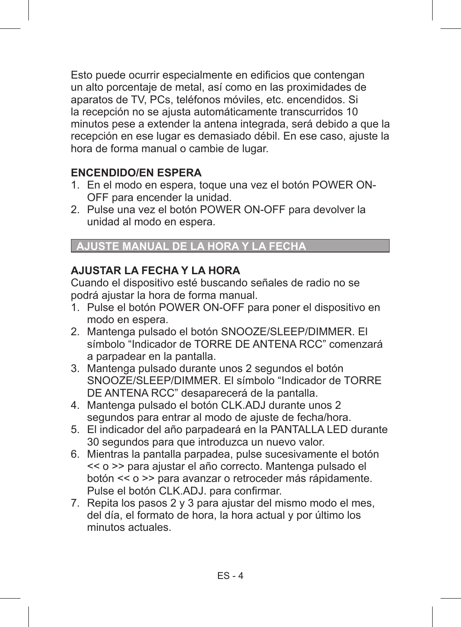Esto puede ocurrir especialmente en edificios que contengan un alto porcentaje de metal, así como en las proximidades de aparatos de TV, PCs, teléfonos móviles, etc. encendidos. Si la recepción no se ajusta automáticamente transcurridos 10 minutos pese a extender la antena integrada, será debido a que la recepción en ese lugar es demasiado débil. En ese caso, ajuste la hora de forma manual o cambie de lugar.

## **ENCENDIDO/EN ESPERA**

- 1. En el modo en espera, toque una vez el botón POWER ON-OFF para encender la unidad.
- 2. Pulse una vez el botón POWER ON-OFF para devolver la unidad al modo en espera.

## **AJUSTE MANUAL DE LA HORA Y LA FECHA**

## **AJUSTAR LA FECHA Y LA HORA**

Cuando el dispositivo esté buscando señales de radio no se podrá ajustar la hora de forma manual.

- 1. Pulse el botón POWER ON-OFF para poner el dispositivo en modo en espera.
- 2. Mantenga pulsado el botón SNOOZE/SLEEP/DIMMER. El símbolo "Indicador de TORRE DE ANTENA RCC" comenzará a parpadear en la pantalla.
- 3. Mantenga pulsado durante unos 2 segundos el botón SNOOZE/SLEEP/DIMMER. El símbolo "Indicador de TORRE DE ANTENA RCC" desaparecerá de la pantalla.
- 4. Mantenga pulsado el botón CLK.ADJ durante unos 2 segundos para entrar al modo de ajuste de fecha/hora.
- 5. El indicador del año parpadeará en la PANTALLA LED durante 30 segundos para que introduzca un nuevo valor.
- 6. Mientras la pantalla parpadea, pulse sucesivamente el botón << o >> para ajustar el año correcto. Mantenga pulsado el botón << o >> para avanzar o retroceder más rápidamente. Pulse el botón CLK.ADJ. para confirmar.
- 7. Repita los pasos 2 y 3 para ajustar del mismo modo el mes, del día, el formato de hora, la hora actual y por último los minutos actuales.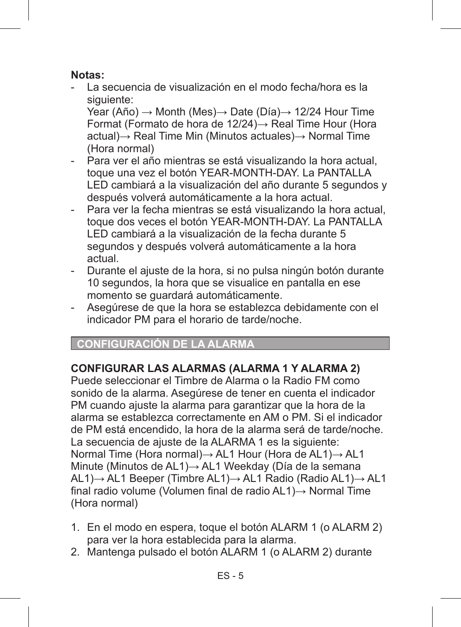### **Notas:**

- La secuencia de visualización en el modo fecha/hora es la siguiente:

 Year (Año) → Month (Mes)→ Date (Día)→ 12/24 Hour Time Format (Formato de hora de 12/24)→ Real Time Hour (Hora actual)→ Real Time Min (Minutos actuales)→ Normal Time (Hora normal)

- Para ver el año mientras se está visualizando la hora actual. toque una vez el botón YEAR-MONTH-DAY. La PANTALLA LED cambiará a la visualización del año durante 5 segundos y después volverá automáticamente a la hora actual.
- Para ver la fecha mientras se está visualizando la hora actual, toque dos veces el botón YEAR-MONTH-DAY. La PANTALLA LED cambiará a la visualización de la fecha durante 5 segundos y después volverá automáticamente a la hora actual.
- Durante el ajuste de la hora, si no pulsa ningún botón durante 10 segundos, la hora que se visualice en pantalla en ese momento se guardará automáticamente.
- Asegúrese de que la hora se establezca debidamente con el indicador PM para el horario de tarde/noche.

## **CONFIGURACIÓN DE LA**

## **CONFIGURAR LAS ALARMAS (ALARMA 1 Y ALARMA 2)**

Puede seleccionar el Timbre de Alarma o la Radio FM como sonido de la alarma. Asegúrese de tener en cuenta el indicador PM cuando ajuste la alarma para garantizar que la hora de la alarma se establezca correctamente en AM o PM. Si el indicador de PM está encendido, la hora de la alarma será de tarde/noche. La secuencia de ajuste de la ALARMA 1 es la siguiente: Normal Time (Hora normal)→ AL1 Hour (Hora de AL1)→ AL1 Minute (Minutos de AL1)→ AL1 Weekday (Día de la semana AL1)→ AL1 Beeper (Timbre AL1)→ AL1 Radio (Radio AL1)→ AL1 final radio volume (Volumen final de radio AL1)→ Normal Time (Hora normal)

- 1. En el modo en espera, toque el botón ALARM 1 (o ALARM 2) para ver la hora establecida para la alarma.
- 2. Mantenga pulsado el botón ALARM 1 (o ALARM 2) durante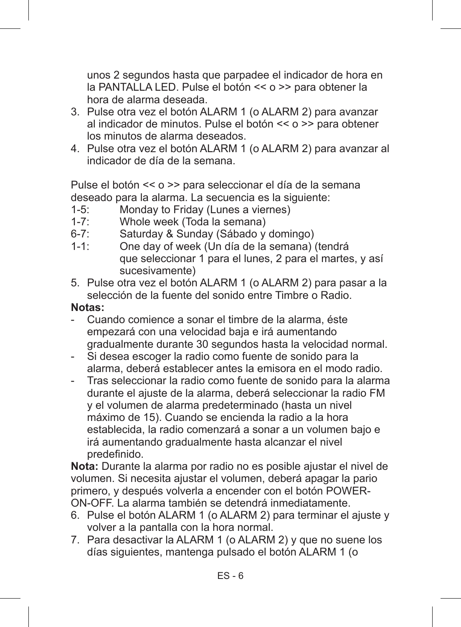unos 2 segundos hasta que parpadee el indicador de hora en la PANTALLA LED. Pulse el botón << o >> para obtener la hora de alarma deseada.

- 3. Pulse otra vez el botón ALARM 1 (o ALARM 2) para avanzar al indicador de minutos. Pulse el botón  $\leq$  o  $\geq$  para obtener los minutos de alarma deseados.
- 4. Pulse otra vez el botón ALARM 1 (o ALARM 2) para avanzar al indicador de día de la semana.

Pulse el botón << o >> para seleccionar el día de la semana deseado para la alarma. La secuencia es la siguiente:

- 1-5: Monday to Friday (Lunes a viernes)<br>1-7: Whole week (Toda la semana)
- 1-7: Whole week (Toda la semana)<br>6-7: Saturday & Sunday (Sábado y
- 6-7: Saturday & Sunday (Sábado y domingo)<br>1-1: One day of week (Un día de la semana)
- 1-1: One day of week (Un día de la semana) (tendrá que seleccionar 1 para el lunes, 2 para el martes, y así sucesivamente)
- 5. Pulse otra vez el botón ALARM 1 (o ALARM 2) para pasar a la selección de la fuente del sonido entre Timbre o Radio.

## **Notas:**

- Cuando comience a sonar el timbre de la alarma, éste empezará con una velocidad baja e irá aumentando gradualmente durante 30 segundos hasta la velocidad normal.
- Si desea escoger la radio como fuente de sonido para la alarma, deberá establecer antes la emisora en el modo radio.
- Tras seleccionar la radio como fuente de sonido para la alarma durante el ajuste de la alarma, deberá seleccionar la radio FM y el volumen de alarma predeterminado (hasta un nivel máximo de 15). Cuando se encienda la radio a la hora establecida, la radio comenzará a sonar a un volumen bajo e irá aumentando gradualmente hasta alcanzar el nivel predefinido.

**Nota:** Durante la alarma por radio no es posible ajustar el nivel de volumen. Si necesita ajustar el volumen, deberá apagar la pario primero, y después volverla a encender con el botón POWER-ON-OFF. La alarma también se detendrá inmediatamente.

- 6. Pulse el botón ALARM 1 (o ALARM 2) para terminar el ajuste y volver a la pantalla con la hora normal.
- 7. Para desactivar la ALARM 1 (o ALARM 2) y que no suene los días siguientes, mantenga pulsado el botón ALARM 1 (o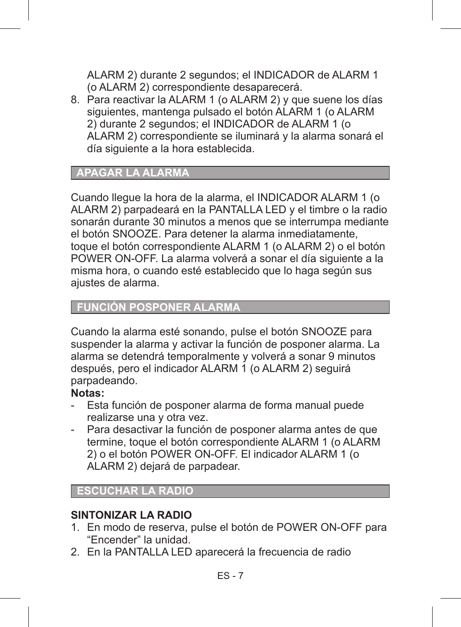ALARM 2) durante 2 segundos; el INDICADOR de ALARM 1 (o ALARM 2) correspondiente desaparecerá.

8. Para reactivar la ALARM 1 (o ALARM 2) y que suene los días siguientes, mantenga pulsado el botón ALARM 1 (o ALARM 2) durante 2 segundos; el INDICADOR de ALARM 1 (o ALARM 2) correspondiente se iluminará y la alarma sonará el día siguiente a la hora establecida.

## **APAGAR LA ALARMA**

Cuando llegue la hora de la alarma, el INDICADOR ALARM 1 (o ALARM 2) parpadeará en la PANTALLA LED y el timbre o la radio sonarán durante 30 minutos a menos que se interrumpa mediante el botón SNOOZE. Para detener la alarma inmediatamente, toque el botón correspondiente ALARM 1 (o ALARM 2) o el botón POWER ON-OFF. La alarma volverá a sonar el día siguiente a la misma hora, o cuando esté establecido que lo haga según sus ajustes de alarma.

#### **FUNCIÓN POSPONER ALARMA**

Cuando la alarma esté sonando, pulse el botón SNOOZE para suspender la alarma y activar la función de posponer alarma. La alarma se detendrá temporalmente y volverá a sonar 9 minutos después, pero el indicador ALARM 1 (o ALARM 2) seguirá parpadeando.

#### **Notas:**

- Esta función de posponer alarma de forma manual puede realizarse una y otra vez.
- Para desactivar la función de posponer alarma antes de que termine, toque el botón correspondiente ALARM 1 (o ALARM 2) o el botón POWER ON-OFF. El indicador ALARM 1 (o ALARM 2) dejará de parpadear.

## **ESCUCHAR LA RADIO**

#### **SINTONIZAR LA RADIO**

- 1. En modo de reserva, pulse el botón de POWER ON-OFF para "Encender" la unidad.
- 2. En la PANTALLA LED aparecerá la frecuencia de radio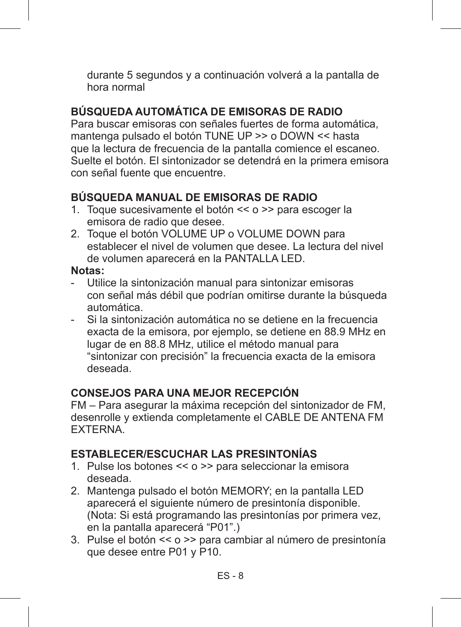durante 5 segundos y a continuación volverá a la pantalla de hora normal

## **BÚSQUEDA AUTOMÁTICA DE EMISORAS DE RADIO**

Para buscar emisoras con señales fuertes de forma automática, mantenga pulsado el botón TUNE UP >> o DOWN << hasta que la lectura de frecuencia de la pantalla comience el escaneo. Suelte el botón. El sintonizador se detendrá en la primera emisora con señal fuente que encuentre.

## **BÚSQUEDA MANUAL DE EMISORAS DE RADIO**

- 1. Toque sucesivamente el botón << o >> para escoger la emisora de radio que desee.
- 2. Toque el botón VOLUME UP o VOLUME DOWN para establecer el nivel de volumen que desee. La lectura del nivel de volumen aparecerá en la PANTALLA LED.

## **Notas:**

- Utilice la sintonización manual para sintonizar emisoras con señal más débil que podrían omitirse durante la búsqueda automática.
- Si la sintonización automática no se detiene en la frecuencia exacta de la emisora, por ejemplo, se detiene en 88.9 MHz en lugar de en 88.8 MHz, utilice el método manual para "sintonizar con precisión" la frecuencia exacta de la emisora deseada.

## **CONSEJOS PARA UNA MEJOR RECEPCIÓN**

FM – Para asegurar la máxima recepción del sintonizador de FM, desenrolle y extienda completamente el CABLE DE ANTENA FM EXTERNA.

## **ESTABLECER/ESCUCHAR LAS PRESINTONÍAS**

- 1. Pulse los botones << o >> para seleccionar la emisora deseada.
- 2. Mantenga pulsado el botón MEMORY; en la pantalla LED aparecerá el siguiente número de presintonía disponible. (Nota: Si está programando las presintonías por primera vez, en la pantalla aparecerá "P01".)
- 3. Pulse el botón << o >> para cambiar al número de presintonía que desee entre P01 y P10.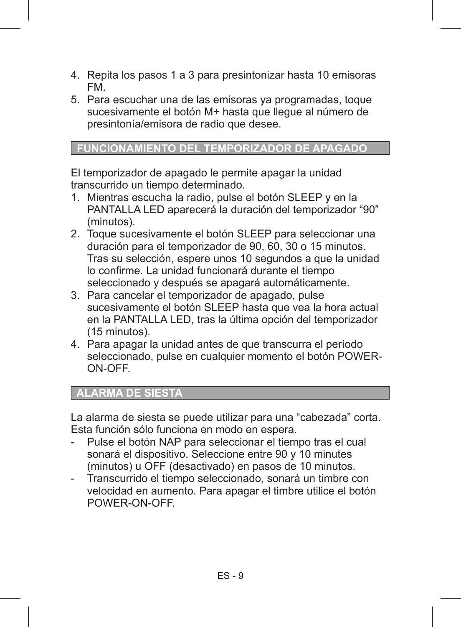- 4. Repita los pasos 1 a 3 para presintonizar hasta 10 emisoras FM.
- 5. Para escuchar una de las emisoras ya programadas, toque sucesivamente el botón M+ hasta que llegue al número de presintonía/emisora de radio que desee.

## **FUNCIONAMIENTO DEL TEMPORIZADOR DE APAGADO**

El temporizador de apagado le permite apagar la unidad transcurrido un tiempo determinado.

- 1. Mientras escucha la radio, pulse el botón SLEEP y en la PANTALLA LED aparecerá la duración del temporizador "90" (minutos).
- 2. Toque sucesivamente el botón SLEEP para seleccionar una duración para el temporizador de 90, 60, 30 o 15 minutos. Tras su selección, espere unos 10 segundos a que la unidad lo confirme. La unidad funcionará durante el tiempo seleccionado y después se apagará automáticamente.
- 3. Para cancelar el temporizador de apagado, pulse sucesivamente el botón SLEEP hasta que vea la hora actual en la PANTALLA LED, tras la última opción del temporizador (15 minutos).
- 4. Para apagar la unidad antes de que transcurra el período seleccionado, pulse en cualquier momento el botón POWER-ON-OFF.

## **ALARMA DE SIESTA**

La alarma de siesta se puede utilizar para una "cabezada" corta. Esta función sólo funciona en modo en espera.

- Pulse el botón NAP para seleccionar el tiempo tras el cual sonará el dispositivo. Seleccione entre 90 y 10 minutes (minutos) u OFF (desactivado) en pasos de 10 minutos.
- Transcurrido el tiempo seleccionado, sonará un timbre con velocidad en aumento. Para apagar el timbre utilice el botón POWER-ON-OFF.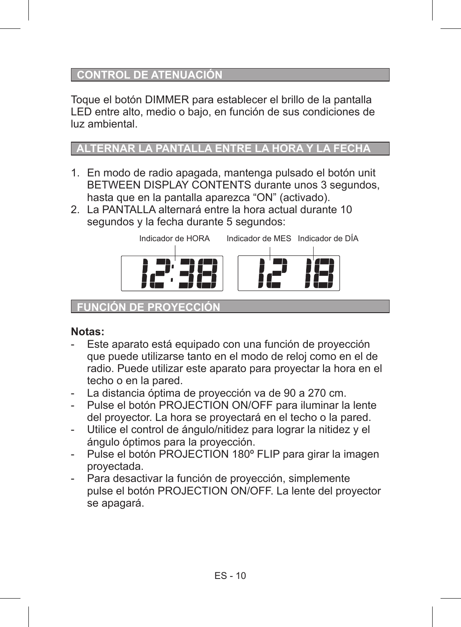## **CONTROL DE ATENUACIÓN**

Toque el botón DIMMER para establecer el brillo de la pantalla LED entre alto, medio o bajo, en función de sus condiciones de luz ambiental.

## **ALTERNAR LA PANTALLA ENTRE LA HORA Y LA FECHA**

- 1. En modo de radio apagada, mantenga pulsado el botón unit BETWEEN DISPLAY CONTENTS durante unos 3 segundos, hasta que en la pantalla aparezca "ON" (activado).
- 2. La PANTALLA alternará entre la hora actual durante 10 segundos y la fecha durante 5 segundos:



#### **FUNCIÓN DE PROYECCIÓ**

## **Notas:**

- Este aparato está equipado con una función de provección que puede utilizarse tanto en el modo de reloj como en el de radio. Puede utilizar este aparato para proyectar la hora en el techo o en la pared.
- La distancia óptima de proyección va de 90 a 270 cm.
- Pulse el botón PROJECTION ON/OFF para iluminar la lente del proyector. La hora se proyectará en el techo o la pared.
- Utilice el control de ángulo/nitidez para lograr la nitidez y el ángulo óptimos para la proyección.
- Pulse el botón PROJECTION 180° FLIP para girar la imagen proyectada.
- Para desactivar la función de proyección, simplemente pulse el botón PROJECTION ON/OFF. La lente del proyector se apagará.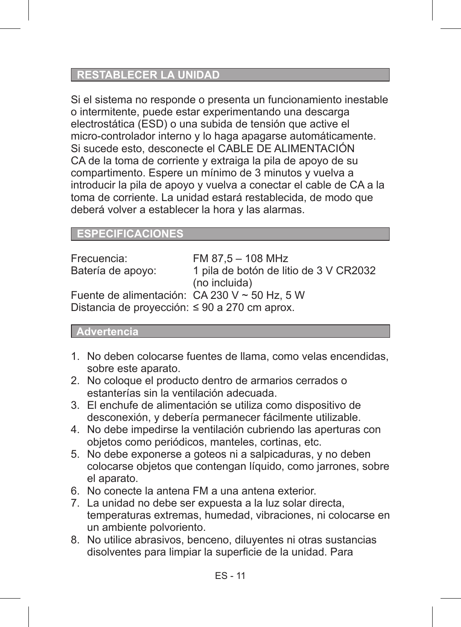## **RESTABLECER LA UNIDAD**

Si el sistema no responde o presenta un funcionamiento inestable o intermitente, puede estar experimentando una descarga electrostática (ESD) o una subida de tensión que active el micro-controlador interno y lo haga apagarse automáticamente. Si sucede esto, desconecte el CABLE DE ALIMENTACIÓN CA de la toma de corriente y extraiga la pila de apoyo de su compartimento. Espere un mínimo de 3 minutos y vuelva a introducir la pila de apoyo y vuelva a conectar el cable de CA a la toma de corriente. La unidad estará restablecida, de modo que deberá volver a establecer la hora y las alarmas.

## **ESPECIFICACIONES**

| Frecuencia:                                   | FM 87.5 - 108 MHz                      |
|-----------------------------------------------|----------------------------------------|
| Batería de apoyo:                             | 1 pila de botón de litio de 3 V CR2032 |
|                                               | (no incluida)                          |
| Fuente de alimentación: CA 230 V ~ 50 Hz, 5 W |                                        |
| Distancia de proyección: ≤ 90 a 270 cm aprox. |                                        |

#### **Advertencia**

- 1. No deben colocarse fuentes de llama, como velas encendidas, sobre este aparato.
- 2. No coloque el producto dentro de armarios cerrados o estanterías sin la ventilación adecuada.
- 3. El enchufe de alimentación se utiliza como dispositivo de desconexión, y debería permanecer fácilmente utilizable.
- 4. No debe impedirse la ventilación cubriendo las aperturas con objetos como periódicos, manteles, cortinas, etc.
- 5. No debe exponerse a goteos ni a salpicaduras, y no deben colocarse objetos que contengan líquido, como jarrones, sobre el aparato.
- 6. No conecte la antena FM a una antena exterior.
- 7. La unidad no debe ser expuesta a la luz solar directa, temperaturas extremas, humedad, vibraciones, ni colocarse en un ambiente polvoriento.
- 8. No utilice abrasivos, benceno, diluyentes ni otras sustancias disolventes para limpiar la superficie de la unidad. Para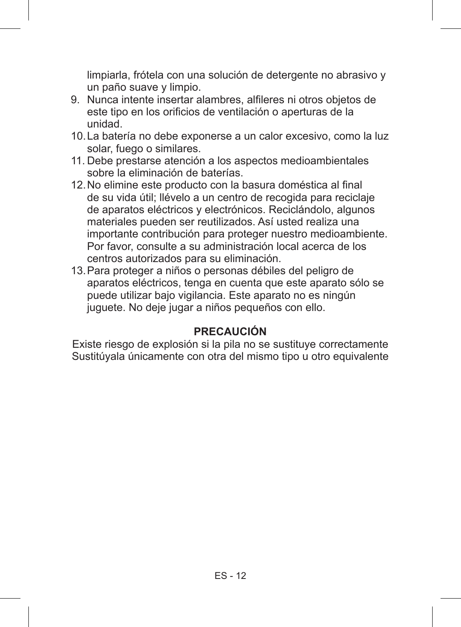limpiarla, frótela con una solución de detergente no abrasivo y un paño suave y limpio.

- 9. Nunca intente insertar alambres, alfileres ni otros objetos de este tipo en los orificios de ventilación o aperturas de la unidad.
- 10.La batería no debe exponerse a un calor excesivo, como la luz solar, fuego o similares.
- 11. Debe prestarse atención a los aspectos medioambientales sobre la eliminación de baterías.
- 12. No elimine este producto con la basura doméstica al final de su vida útil; llévelo a un centro de recogida para reciclaje de aparatos eléctricos y electrónicos. Reciclándolo, algunos materiales pueden ser reutilizados. Así usted realiza una importante contribución para proteger nuestro medioambiente. Por favor, consulte a su administración local acerca de los centros autorizados para su eliminación.
- 13.Para proteger a niños o personas débiles del peligro de aparatos eléctricos, tenga en cuenta que este aparato sólo se puede utilizar bajo vigilancia. Este aparato no es ningún juguete. No deje jugar a niños pequeños con ello.

# **PRECAUCIÓN**

Existe riesgo de explosión si la pila no se sustituye correctamente Sustitúyala únicamente con otra del mismo tipo u otro equivalente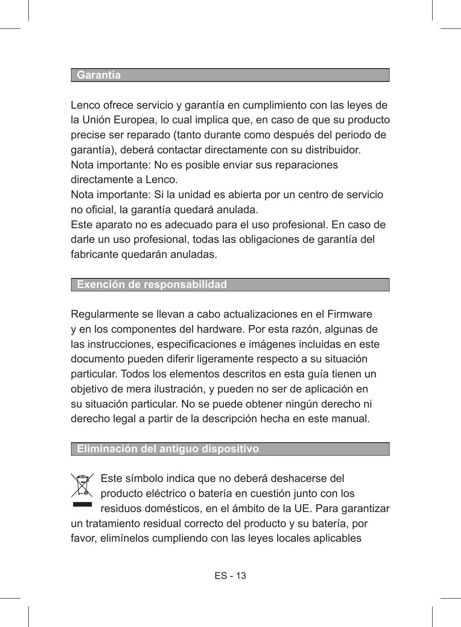#### **Garantía**

Lenco ofrece servicio y garantía en cumplimiento con las leyes de la Unión Europea, lo cual implica que, en caso de que su producto precise ser reparado (tanto durante como después del periodo de garantía), deberá contactar directamente con su distribuidor. Nota importante: No es posible enviar sus reparaciones directamente a Lenco.

Nota importante: Si la unidad es abierta por un centro de servicio no oficial, la garantía quedará anulada.

Este aparato no es adecuado para el uso profesional. En caso de darle un uso profesional, todas las obligaciones de garantía del fabricante quedarán anuladas.

# **Exención de responsabilidad**

Regularmente se llevan a cabo actualizaciones en el Firmware y en los componentes del hardware. Por esta razón, algunas de las instrucciones, especificaciones e imágenes incluidas en este documento pueden diferir ligeramente respecto a su situación particular. Todos los elementos descritos en esta guía tienen un objetivo de mera ilustración, y pueden no ser de aplicación en su situación particular. No se puede obtener ningún derecho ni derecho legal a partir de la descripción hecha en este manual.

### **Eliminación del antiguo dispositivo**

Este símbolo indica que no deberá deshacerse del producto eléctrico o batería en cuestión junto con los residuos domésticos, en el ámbito de la UE. Para garantizar un tratamiento residual correcto del producto y su batería, por favor, elimínelos cumpliendo con las leyes locales aplicables